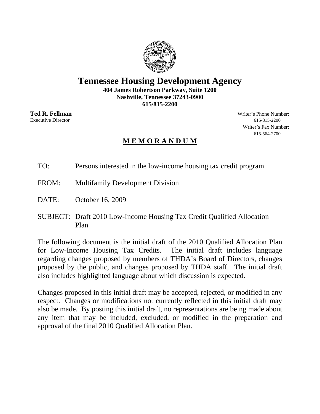# **Tennessee Housing Development Agency**

**404 James Robertson Parkway, Suite 1200 Nashville, Tennessee 37243-0900 615/815-2200** 

**Ted R. Fellman** Writer's Phone Number: Executive Director 615-815-2200 Writer's Fax Number: 615-564-2700

# **M E M O R A N D U M**

TO: Persons interested in the low-income housing tax credit program

- FROM: Multifamily Development Division
- DATE: October 16, 2009
- SUBJECT: Draft 2010 Low-Income Housing Tax Credit Qualified Allocation Plan

The following document is the initial draft of the 2010 Qualified Allocation Plan for Low-Income Housing Tax Credits. The initial draft includes language regarding changes proposed by members of THDA's Board of Directors, changes proposed by the public, and changes proposed by THDA staff. The initial draft also includes highlighted language about which discussion is expected.

Changes proposed in this initial draft may be accepted, rejected, or modified in any respect. Changes or modifications not currently reflected in this initial draft may also be made. By posting this initial draft, no representations are being made about any item that may be included, excluded, or modified in the preparation and approval of the final 2010 Qualified Allocation Plan.

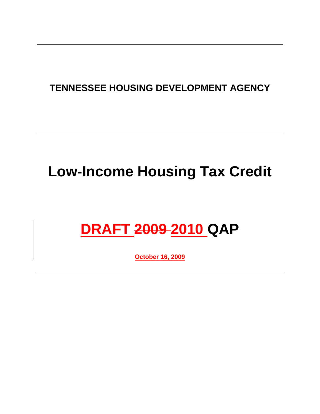# **TENNESSEE HOUSING DEVELOPMENT AGENCY**

# **Low-Income Housing Tax Credit**

# **DRAFT 2009 2010 QAP**

**October 16, 2009**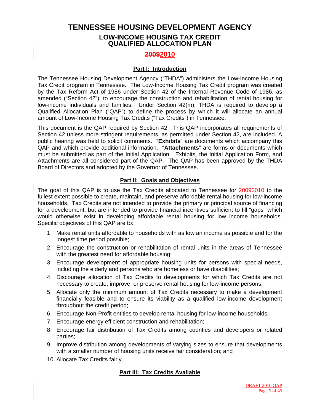# **TENNESSEE HOUSING DEVELOPMENT AGENCY LOW-INCOME HOUSING TAX CREDIT QUALIFIED ALLOCATION PLAN**

# **20092010**

#### **Part I: Introduction**

The Tennessee Housing Development Agency ("THDA") administers the Low-Income Housing Tax Credit program in Tennessee. The Low-Income Housing Tax Credit program was created by the Tax Reform Act of 1986 under Section 42 of the Internal Revenue Code of 1986, as amended ("Section 42"), to encourage the construction and rehabilitation of rental housing for low-income individuals and families. Under Section 42(m), THDA is required to develop a Qualified Allocation Plan ("QAP") to define the process by which it will allocate an annual amount of Low-Income Housing Tax Credits ("Tax Credits") in Tennessee.

This document is the QAP required by Section 42. This QAP incorporates all requirements of Section 42 unless more stringent requirements, as permitted under Section 42, are included. A public hearing was held to solicit comments. "**Exhibits**" are documents which accompany this QAP and which provide additional information. "**Attachments**" are forms or documents which must be submitted as part of the Initial Application. Exhibits, the Initial Application Form, and Attachments are all considered part of the QAP. The QAP has been approved by the THDA Board of Directors and adopted by the Governor of Tennessee.

#### **Part II: Goals and Objectives**

The goal of this QAP is to use the Tax Credits allocated to Tennessee for 20092010 to the fullest extent possible to create, maintain, and preserve affordable rental housing for low-income households. Tax Credits are not intended to provide the primary or principal source of financing for a development, but are intended to provide financial incentives sufficient to fill "gaps" which would otherwise exist in developing affordable rental housing for low income households. Specific objectives of this QAP are to:

- 1. Make rental units affordable to households with as low an income as possible and for the longest time period possible;
- 2. Encourage the construction or rehabilitation of rental units in the areas of Tennessee with the greatest need for affordable housing;
- 3. Encourage development of appropriate housing units for persons with special needs, including the elderly and persons who are homeless or have disabilities;
- 4. Discourage allocation of Tax Credits to developments for which Tax Credits are not necessary to create, improve, or preserve rental housing for low-income persons;
- 5. Allocate only the minimum amount of Tax Credits necessary to make a development financially feasible and to ensure its viability as a qualified low-income development throughout the credit period;
- 6. Encourage Non-Profit entities to develop rental housing for low-income households;
- 7. Encourage energy efficient construction and rehabilitation;
- 8. Encourage fair distribution of Tax Credits among counties and developers or related parties;
- 9. Improve distribution among developments of varying sizes to ensure that developments with a smaller number of housing units receive fair consideration; and
- 10. Allocate Tax Credits fairly.

# **Part III: Tax Credits Available**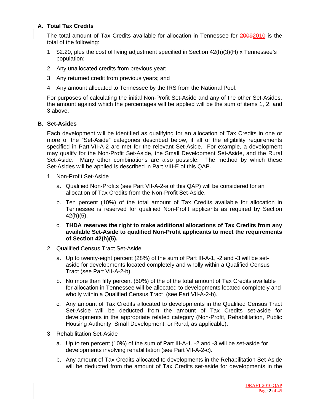# **A. Total Tax Credits**

The total amount of Tax Credits available for allocation in Tennessee for 20092010 is the total of the following:

- 1. \$2.20, plus the cost of living adjustment specified in Section 42(h)(3)(H) x Tennessee's population;
- 2. Any unallocated credits from previous year;
- 3. Any returned credit from previous years; and
- 4. Any amount allocated to Tennessee by the IRS from the National Pool.

For purposes of calculating the initial Non-Profit Set-Aside and any of the other Set-Asides, the amount against which the percentages will be applied will be the sum of items 1, 2, and 3 above.

#### **B. Set-Asides**

Each development will be identified as qualifying for an allocation of Tax Credits in one or more of the "Set-Aside" categories described below, if all of the eligibility requirements specified in Part VII-A-2 are met for the relevant Set-Aside. For example, a development may qualify for the Non-Profit Set-Aside, the Small Development Set-Aside, and the Rural Set-Aside. Many other combinations are also possible. The method by which these Set-Asides will be applied is described in Part VIII-E of this QAP.

- 1. Non-Profit Set-Aside
	- a. Qualified Non-Profits (see Part VII-A-2-a of this QAP) will be considered for an allocation of Tax Credits from the Non-Profit Set-Aside.
	- b. Ten percent (10%) of the total amount of Tax Credits available for allocation in Tennessee is reserved for qualified Non-Profit applicants as required by Section 42(h)(5).
	- c. **THDA reserves the right to make additional allocations of Tax Credits from any available Set-Aside to qualified Non-Profit applicants to meet the requirements of Section 42(h)(5).**
- 2. Qualified Census Tract Set-Aside
	- a. Up to twenty-eight percent (28%) of the sum of Part III-A-1, -2 and -3 will be setaside for developments located completely and wholly within a Qualified Census Tract (see Part VII-A-2-b).
	- b. No more than fifty percent (50%) of the of the total amount of Tax Credits available for allocation in Tennessee will be allocated to developments located completely and wholly within a Qualified Census Tract (see Part VII-A-2-b).
	- c. Any amount of Tax Credits allocated to developments in the Qualified Census Tract Set-Aside will be deducted from the amount of Tax Credits set-aside for developments in the appropriate related category (Non-Profit, Rehabilitation, Public Housing Authority, Small Development, or Rural, as applicable).
- 3. Rehabilitation Set-Aside
	- a. Up to ten percent (10%) of the sum of Part III-A-1, -2 and -3 will be set-aside for developments involving rehabilitation (see Part VII-A-2-c).
	- b. Any amount of Tax Credits allocated to developments in the Rehabilitation Set-Aside will be deducted from the amount of Tax Credits set-aside for developments in the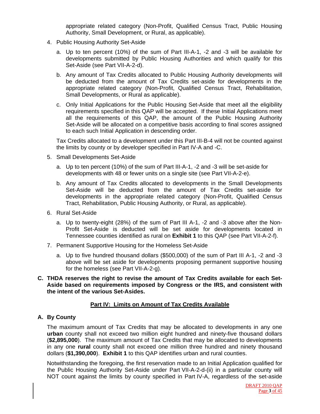appropriate related category (Non-Profit, Qualified Census Tract, Public Housing Authority, Small Development, or Rural, as applicable).

- 4. Public Housing Authority Set-Aside
	- a. Up to ten percent (10%) of the sum of Part III-A-1, -2 and -3 will be available for developments submitted by Public Housing Authorities and which qualify for this Set-Aside (see Part VII-A-2-d).
	- b. Any amount of Tax Credits allocated to Public Housing Authority developments will be deducted from the amount of Tax Credits set-aside for developments in the appropriate related category (Non-Profit, Qualified Census Tract, Rehabilitation, Small Developments, or Rural as applicable).
	- c. Only Initial Applications for the Public Housing Set-Aside that meet all the eligibility requirements specified in this QAP will be accepted. If these Initial Applications meet all the requirements of this QAP, the amount of the Public Housing Authority Set-Aside will be allocated on a competitive basis according to final scores assigned to each such Initial Application in descending order.

 Tax Credits allocated to a development under this Part III-B-4 will not be counted against the limits by county or by developer specified in Part IV-A and -C.

- 5. Small Developments Set-Aside
	- a. Up to ten percent (10%) of the sum of Part III-A-1, -2 and -3 will be set-aside for developments with 48 or fewer units on a single site (see Part VII-A-2-e).
	- b. Any amount of Tax Credits allocated to developments in the Small Developments Set-Aside will be deducted from the amount of Tax Credits set-aside for developments in the appropriate related category (Non-Profit, Qualified Census Tract, Rehabilitation, Public Housing Authority, or Rural, as applicable).
- 6. Rural Set-Aside
	- a. Up to twenty-eight (28%) of the sum of Part III A-1, -2 and -3 above after the Non-Profit Set-Aside is deducted will be set aside for developments located in Tennessee counties identified as rural on **Exhibit 1** to this QAP (see Part VII-A-2-f).
- 7. Permanent Supportive Housing for the Homeless Set-Aside
	- a. Up to five hundred thousand dollars (\$500,000) of the sum of Part III A-1, -2 and -3 above will be set aside for developments proposing permanent supportive housing for the homeless (see Part VII-A-2-g).
- **C. THDA reserves the right to revise the amount of Tax Credits available for each Set-Aside based on requirements imposed by Congress or the IRS, and consistent with the intent of the various Set-Asides.**

#### **Part IV: Limits on Amount of Tax Credits Available**

#### **A. By County**

The maximum amount of Tax Credits that may be allocated to developments in any one **urban** county shall not exceed two million eight hundred and ninety-five thousand dollars (**\$2,895,000**). The maximum amount of Tax Credits that may be allocated to developments in any one **rural** county shall not exceed one million three hundred and ninety thousand dollars (**\$1,390,000**). **Exhibit 1** to this QAP identifies urban and rural counties.

Notwithstanding the foregoing, the first reservation made to an Initial Application qualified for the Public Housing Authority Set-Aside under Part VII-A-2-d-(ii) in a particular county will NOT count against the limits by county specified in Part IV-A, regardless of the set-aside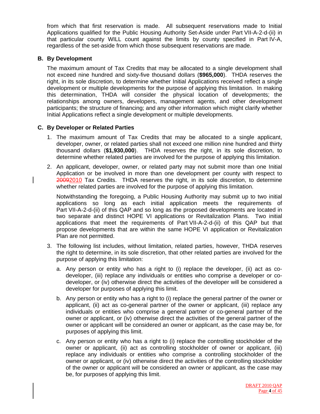from which that first reservation is made. All subsequent reservations made to Initial Applications qualified for the Public Housing Authority Set-Aside under Part VII-A-2-d-(ii) in that particular county WILL count against the limits by county specified in Part IV-A, regardless of the set-aside from which those subsequent reservations are made.

#### **B. By Development**

The maximum amount of Tax Credits that may be allocated to a single development shall not exceed nine hundred and sixty-five thousand dollars (**\$965,000**). THDA reserves the right, in its sole discretion, to determine whether Initial Applications received reflect a single development or multiple developments for the purpose of applying this limitation. In making this determination, THDA will consider the physical location of developments; the relationships among owners, developers, management agents, and other development participants; the structure of financing; and any other information which might clarify whether Initial Applications reflect a single development or multiple developments.

#### **C. By Developer or Related Parties**

- 1. The maximum amount of Tax Credits that may be allocated to a single applicant, developer, owner, or related parties shall not exceed one million nine hundred and thirty thousand dollars (**\$1,930,000**). THDA reserves the right, in its sole discretion, to determine whether related parties are involved for the purpose of applying this limitation.
- 2. An applicant, developer, owner, or related party may not submit more than one Initial Application or be involved in more than one development per county with respect to 20092010 Tax Credits. THDA reserves the right, in its sole discretion, to determine whether related parties are involved for the purpose of applying this limitation.

Notwithstanding the foregoing, a Public Housing Authority may submit up to two initial applications so long as each initial application meets the requirements of Part VII-A-2-d-(ii) of this QAP and so long as the proposed developments are located in two separate and distinct HOPE VI applications or Revitalization Plans. Two initial applications that meet the requirements of Part VII-A-2-d-(ii) of this QAP but that propose developments that are within the same HOPE VI application or Revitalization Plan are not permitted.

- 3. The following list includes, without limitation, related parties, however, THDA reserves the right to determine, in its sole discretion, that other related parties are involved for the purpose of applying this limitation:
	- a. Any person or entity who has a right to (i) replace the developer, (ii) act as codeveloper, (iii) replace any individuals or entities who comprise a developer or codeveloper, or (iv) otherwise direct the activities of the developer will be considered a developer for purposes of applying this limit.
	- b. Any person or entity who has a right to (i) replace the general partner of the owner or applicant, (ii) act as co-general partner of the owner or applicant, (iii) replace any individuals or entities who comprise a general partner or co-general partner of the owner or applicant, or (iv) otherwise direct the activities of the general partner of the owner or applicant will be considered an owner or applicant, as the case may be, for purposes of applying this limit.
	- c. Any person or entity who has a right to (i) replace the controlling stockholder of the owner or applicant, (ii) act as controlling stockholder of owner or applicant, (iii) replace any individuals or entities who comprise a controlling stockholder of the owner or applicant, or (iv) otherwise direct the activities of the controlling stockholder of the owner or applicant will be considered an owner or applicant, as the case may be, for purposes of applying this limit.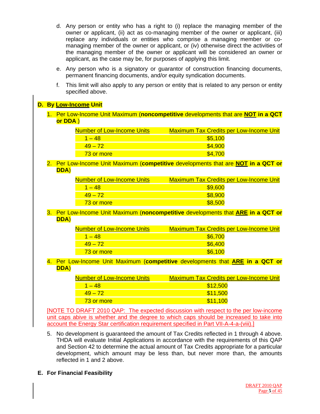- d. Any person or entity who has a right to (i) replace the managing member of the owner or applicant, (ii) act as co-managing member of the owner or applicant, (iii) replace any individuals or entities who comprise a managing member or comanaging member of the owner or applicant, or (iv) otherwise direct the activities of the managing member of the owner or applicant will be considered an owner or applicant, as the case may be, for purposes of applying this limit.
- e. Any person who is a signatory or guarantor of construction financing documents, permanent financing documents, and/or equity syndication documents.
- f. This limit will also apply to any person or entity that is related to any person or entity specified above.

# **D. By Low-Income Unit**

1. Per Low-Income Unit Maximum (**noncompetitive** developments that are **NOT in a QCT or DDA** )

| Number of Low-Income Units | <b>Maximum Tax Credits per Low-Income Unit</b> |
|----------------------------|------------------------------------------------|
| $1 - 48$                   | \$5,100                                        |
| $49 - 72$                  | \$4,900                                        |
| 73 or more                 | \$4.700                                        |

#### 2. Per Low-Income Unit Maximum (**competitive** developments that are **NOT in a QCT or DDA**)

| <b>Number of Low-Income Units</b> | <b>Maximum Tax Credits per Low-Income Unit</b> |
|-----------------------------------|------------------------------------------------|
| $1 - 48$                          | \$9,600                                        |
| $49 - 72$                         | \$8,900                                        |
| 73 or more                        | \$8,500                                        |

3. Per Low-Income Unit Maximum (**noncompetitive** developments that **ARE in a QCT or DDA**)

| <u>Number of Low-Income Units.</u> | <b>Maximum Tax Credits per Low-Income Unit</b> |
|------------------------------------|------------------------------------------------|
| $1 - 48$                           | \$6,700                                        |
| $49 - 72$                          | \$6,400                                        |
| 73 or more                         | \$6.100                                        |
|                                    |                                                |

#### 4. Per Low-Income Unit Maximum (**competitive** developments that **ARE in a QCT or DDA**)

| <u>Number of Low-Income Units</u> | <b>Maximum Tax Credits per Low-Income Unit</b> |
|-----------------------------------|------------------------------------------------|
| $1 - 48$                          | \$12,500                                       |
| $49 - 72$                         | \$11,500                                       |
| 73 or more                        | \$11.100                                       |

[NOTE TO DRAFT 2010 QAP: The expected discussion with respect to the per low-income unit caps abive is whether and the degree to which caps should be increased to take into account the Energy Star certification requirement specified in Part VII-A-4-a-(viii).]

- 5. No development is guaranteed the amount of Tax Credits reflected in 1 through 4 above. THDA will evaluate Initial Applications in accordance with the requirements of this QAP and Section 42 to determine the actual amount of Tax Credits appropriate for a particular development, which amount may be less than, but never more than, the amounts reflected in 1 and 2 above.
- **E. For Financial Feasibility**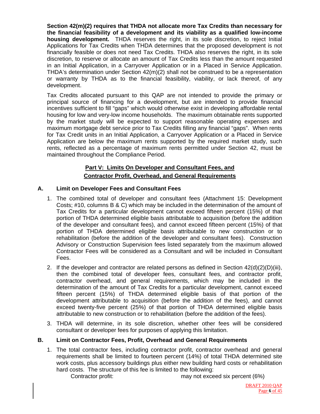**Section 42(m)(2) requires that THDA not allocate more Tax Credits than necessary for the financial feasibility of a development and its viability as a qualified low-income housing development.** THDA reserves the right, in its sole discretion, to reject Initial Applications for Tax Credits when THDA determines that the proposed development is not financially feasible or does not need Tax Credits. THDA also reserves the right, in its sole discretion, to reserve or allocate an amount of Tax Credits less than the amount requested in an Initial Application, in a Carryover Application or in a Placed in Service Application. THDA's determination under Section 42(m)(2) shall not be construed to be a representation or warranty by THDA as to the financial feasibility, viability, or lack thereof, of any development.

Tax Credits allocated pursuant to this QAP are not intended to provide the primary or principal source of financing for a development, but are intended to provide financial incentives sufficient to fill "gaps" which would otherwise exist in developing affordable rental housing for low and very-low income households. The maximum obtainable rents supported by the market study will be expected to support reasonable operating expenses and maximum mortgage debt service prior to Tax Credits filling any financial "gaps". When rents for Tax Credit units in an Initial Application, a Carryover Application or a Placed in Service Application are below the maximum rents supported by the required market study, such rents, reflected as a percentage of maximum rents permitted under Section 42, must be maintained throughout the Compliance Period.

# **Part V: Limits On Developer and Consultant Fees, and Contractor Profit, Overhead, and General Requirements**

# **A. Limit on Developer Fees and Consultant Fees**

- 1. The combined total of developer and consultant fees (Attachment 15: Development Costs; #10, columns B & C) which may be included in the determination of the amount of Tax Credits for a particular development cannot exceed fifteen percent (15%) of that portion of THDA determined eligible basis attributable to acquisition (before the addition of the developer and consultant fees), and cannot exceed fifteen percent (15%) of that portion of THDA determined eligible basis attributable to new construction or to rehabilitation (before the addition of the developer and consultant fees). Construction Advisory or Construction Supervision fees listed separately from the maximum allowed Contractor Fees will be considered as a Consultant and will be included in Consultant Fees.
- 2. If the developer and contractor are related persons as defined in Section  $42(d)(2)(D)(iii)$ , then the combined total of developer fees, consultant fees, and contractor profit, contractor overhead, and general requirements, which may be included in the determination of the amount of Tax Credits for a particular development, cannot exceed fifteen percent (15%) of THDA determined eligible basis of that portion of the development attributable to acquisition (before the addition of the fees), and cannot exceed twenty-five percent (25%) of that portion of THDA determined eligible basis attributable to new construction or to rehabilitation (before the addition of the fees).
- 3. THDA will determine, in its sole discretion, whether other fees will be considered consultant or developer fees for purposes of applying this limitation.

#### **B. Limit on Contractor Fees, Profit, Overhead and General Requirements**

- 1. The total contractor fees, including contractor profit, contractor overhead and general requirements shall be limited to fourteen percent (14%) of total THDA determined site work costs, plus accessory buildings plus either new building hard costs or rehabilitation hard costs. The structure of this fee is limited to the following:
	- Contractor profit: may not exceed six percent (6%)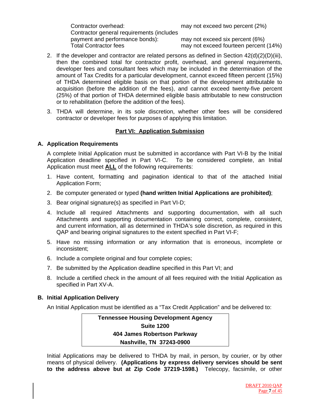Contractor overhead: may not exceed two percent (2%) Contractor general requirements (includes payment and performance bonds): may not exceed six percent (6%) Total Contractor fees may not exceed fourteen percent (14%)

- 2. If the developer and contractor are related persons as defined in Section  $42(d)(2)(D)(iii)$ , then the combined total for contractor profit, overhead, and general requirements, developer fees and consultant fees which may be included in the determination of the amount of Tax Credits for a particular development, cannot exceed fifteen percent (15%) of THDA determined eligible basis on that portion of the development attributable to acquisition (before the addition of the fees), and cannot exceed twenty-five percent (25%) of that portion of THDA determined eligible basis attributable to new construction or to rehabilitation (before the addition of the fees).
- 3. THDA will determine, in its sole discretion, whether other fees will be considered contractor or developer fees for purposes of applying this limitation.

# **Part VI: Application Submission**

# **A. Application Requirements**

A complete Initial Application must be submitted in accordance with Part VI-B by the Initial Application deadline specified in Part VI-C. To be considered complete, an Initial Application must meet **ALL** of the following requirements:

- 1. Have content, formatting and pagination identical to that of the attached Initial Application Form;
- 2. Be computer generated or typed **(hand written Initial Applications are prohibited)**;
- 3. Bear original signature(s) as specified in Part VI-D;
- 4. Include all required Attachments and supporting documentation, with all such Attachments and supporting documentation containing correct, complete, consistent, and current information, all as determined in THDA's sole discretion, as required in this QAP and bearing original signatures to the extent specified in Part VI-F;
- 5. Have no missing information or any information that is erroneous, incomplete or inconsistent;
- 6. Include a complete original and four complete copies;
- 7. Be submitted by the Application deadline specified in this Part VI; and
- 8. Include a certified check in the amount of all fees required with the Initial Application as specified in Part XV-A.

#### **B. Initial Application Delivery**

An Initial Application must be identified as a "Tax Credit Application" and be delivered to:

**Tennessee Housing Development Agency Suite 1200 404 James Robertson Parkway Nashville, TN 37243-0900** 

Initial Applications may be delivered to THDA by mail, in person, by courier, or by other means of physical delivery. **(Applications by express delivery services should be sent to the address above but at Zip Code 37219-1598.)** Telecopy, facsimile, or other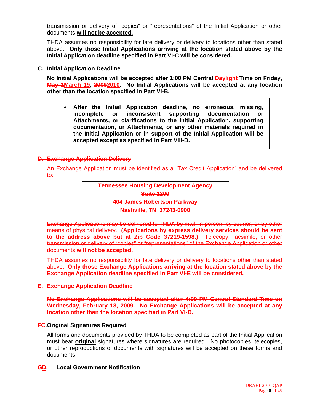transmission or delivery of "copies" or "representations" of the Initial Application or other documents **will not be accepted.**

THDA assumes no responsibility for late delivery or delivery to locations other than stated above. **Only those Initial Applications arriving at the location stated above by the Initial Application deadline specified in Part VI-C will be considered.** 

#### **C. Initial Application Deadline**

**No Initial Applications will be accepted after 1:00 PM Central Daylight Time on Friday, May 1March 19, 20092010. No Initial Applications will be accepted at any location other than the location specified in Part VI-B.** 

• **After the Initial Application deadline, no erroneous, missing, incomplete or inconsistent supporting documentation or Attachments, or clarifications to the Initial Application, supporting documentation, or Attachments, or any other materials required in the Initial Application or in support of the Initial Application will be accepted except as specified in Part VIII-B.** 

#### **D. Exchange Application Delivery**

An Exchange Application must be identified as a "Tax Credit Application" and be delivered to:

> **Tennessee Housing Development Agency Suite 1200 404 James Robertson Parkway Nashville, TN 37243-0900**

Exchange Applications may be delivered to THDA by mail, in person, by courier, or by other means of physical delivery. **(Applications by express delivery services should be sent to the address above but at Zip Code 37219-1598.)** Telecopy, facsimile, or other transmission or delivery of "copies" or "representations" of the Exchange Application or other documents **will not be accepted.**

THDA assumes no responsibility for late delivery or delivery to locations other than stated above. **Only those Exchange Applications arriving at the location stated above by the Exchange Application deadline specified in Part VI-E will be considered.**

#### **E. Exchange Application Deadline**

**No Exchange Applications will be accepted after 4:00 PM Central Standard Time on Wednesday, February 18, 2009. No Exchange Applications will be accepted at any location other than the location specified in Part VI-D.**

# **FC. Original Signatures Required**

All forms and documents provided by THDA to be completed as part of the Initial Application must bear **original** signatures where signatures are required. No photocopies, telecopies, or other reproductions of documents with signatures will be accepted on these forms and documents.

#### **GD. Local Government Notification**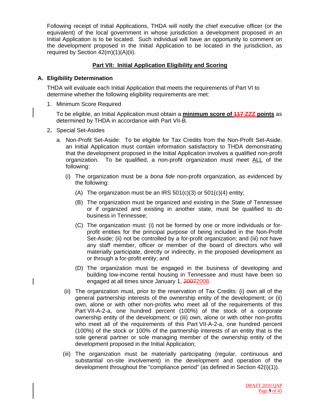Following receipt of Initial Applications, THDA will notify the chief executive officer (or the equivalent) of the local government in whose jurisdiction a development proposed in an Initial Application is to be located. Such individual will have an opportunity to comment on the development proposed in the Initial Application to be located in the jurisdiction, as required by Section 42(m)(1)(A)(ii).

#### **Part VII: Initial Application Eligibility and Scoring**

#### **A. Eligibility Determination**

THDA will evaluate each Initial Application that meets the requirements of Part VI to determine whether the following eligibility requirements are met:

1. Minimum Score Required

To be eligible, an Initial Application must obtain a **minimum score of 117 ZZZ points** as determined by THDA in accordance with Part VII-B.

- 2**.** Special Set-Asides
	- a. Non-Profit Set-Aside: To be eligible for Tax Credits from the Non-Profit Set-Aside, an Initial Application must contain information satisfactory to THDA demonstrating that the development proposed in the Initial Application involves a qualified non-profit organization. To be qualified, a non-profit organization must meet ALL of the following:
		- (i) The organization must be a *bona fide* non-profit organization, as evidenced by the following:
			- (A) The organization must be an IRS  $501(c)(3)$  or  $501(c)(4)$  entity;
			- (B) The organization must be organized and existing in the State of Tennessee or if organized and existing in another state, must be qualified to do business in Tennessee;
			- (C) The organization must: (i) not be formed by one or more individuals or forprofit entities for the principal purpose of being included in the Non-Profit Set-Aside; (ii) not be controlled by a for-profit organization; and (iii) not have any staff member, officer or member of the board of directors who will materially participate, directly or indirectly, in the proposed development as or through a for-profit entity; and
			- (D) The organization must be engaged in the business of developing and building low-income rental housing in Tennessee and must have been so engaged at all times since January 1, 20072008.
		- (ii) The organization must, prior to the reservation of Tax Credits: (i) own all of the general partnership interests of the ownership entity of the development; or (ii) own, alone or with other non-profits who meet all of the requirements of this Part VII-A-2-a, one hundred percent (100%) of the stock of a corporate ownership entity of the development; or (iii) own, alone or with other non-profits who meet all of the requirements of this Part VII-A-2-a, one hundred percent (100%) of the stock or 100% of the partnership interests of an entity that is the sole general partner or sole managing member of the ownership entity of the development proposed in the Initial Application;
		- (iii) The organization must be materially participating (regular, continuous and substantial on-site involvement) in the development and operation of the development throughout the "compliance period" (as defined in Section 42(i)(1)).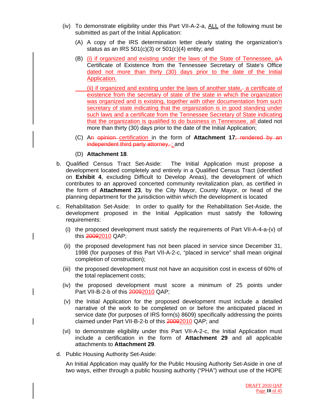- (iv) To demonstrate eligibility under this Part VII-A-2-a, ALL of the following must be submitted as part of the Initial Application:
	- (A) A copy of the IRS determination letter clearly stating the organization's status as an IRS  $501(c)(3)$  or  $501(c)(4)$  entity; and
	- (B) (i) if organized and existing under the laws of the State of Tennessee, aA Certificate of Existence from the Tennessee Secretary of State's Office dated not more than thirty (30) days prior to the date of the Initial Application.
		- (ii) if organized and existing under the laws of another state, a certificate of existence from the secretary of state of the state in which the organization was organized and is existing, together with other documentation from such secretary of state indicating that the organization is in good standing under such laws and a certificate from the Tennessee Secretary of State indicating that the organization is qualified to do business in Tennessee, all dated not more than thirty (30) days prior to the date of the Initial Application;
	- (C) An opinion certification in the form of **Attachment 17**; rendered by an independent third party attorney, ; and
	- (D) **Attachment 18**.
- b. Qualified Census Tract Set-Aside: The Initial Application must propose a development located completely and entirely in a Qualified Census Tract (identified on **Exhibit 4**, excluding Difficult to Develop Areas), the development of which contributes to an approved concerted community revitalization plan, as certified in the form of **Attachment 23**, by the City Mayor, County Mayor, or head of the planning department for the jurisdiction within which the development is located
- c. Rehabilitation Set-Aside: In order to qualify for the Rehabilitation Set-Aside, the development proposed in the Initial Application must satisfy the following requirements:
	- (i) the proposed development must satisfy the requirements of Part VII-A-4-a-(v) of this 20092010 QAP;
	- (ii) the proposed development has not been placed in service since December 31, 1998 (for purposes of this Part VII-A-2-c, "placed in service" shall mean original completion of construction);
	- (iii) the proposed development must not have an acquisition cost in excess of 60% of the total replacement costs;
	- (iv) the proposed development must score a minimum of 25 points under Part VII-B-2-b of this 20092010 QAP;
	- (v) the Initial Application for the proposed development must include a detailed narrative of the work to be completed on or before the anticipated placed in service date (for purposes of IRS form(s) 8609) specifically addressing the points claimed under Part VII-B-2-b of this 20092010 QAP; and
	- (vi) to demonstrate eligibility under this Part VII-A-2-c, the Initial Application must include a certification in the form of **Attachment 29** and all applicable attachments to **Attachment 29**.
- d. Public Housing Authority Set-Aside:

An Initial Application may qualify for the Public Housing Authority Set-Aside in one of two ways, either through a public housing authority ("PHA") without use of the HOPE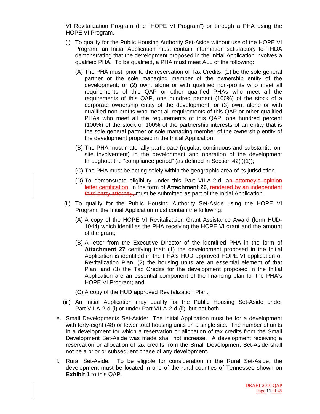VI Revitalization Program (the "HOPE VI Program") or through a PHA using the HOPE VI Program.

- (i) To qualify for the Public Housing Authority Set-Aside without use of the HOPE VI Program, an Initial Application must contain information satisfactory to THDA demonstrating that the development proposed in the Initial Application involves a qualified PHA. To be qualified, a PHA must meet ALL of the following:
	- (A) The PHA must, prior to the reservation of Tax Credits: (1) be the sole general partner or the sole managing member of the ownership entity of the development; or (2) own, alone or with qualified non-profits who meet all requirements of this QAP or other qualified PHAs who meet all the requirements of this QAP, one hundred percent (100%) of the stock of a corporate ownership entity of the development; or (3) own, alone or with qualified non-profits who meet all requirements of this QAP or other qualified PHAs who meet all the requirements of this QAP, one hundred percent (100%) of the stock or 100% of the partnership interests of an entity that is the sole general partner or sole managing member of the ownership entity of the development proposed in the Initial Application;
	- (B) The PHA must materially participate (regular, continuous and substantial onsite involvement) in the development and operation of the development throughout the "compliance period" (as defined in Section 42(i)(1));
	- (C) The PHA must be acting solely within the geographic area of its jurisdiction.
	- (D) To demonstrate eligibility under this Part VII-A-2-d, an attorney's opinion letter certification, in the form of Attachment 26, rendered by an independent third party attorney, must be submitted as part of the Initial Application.
- (ii) To qualify for the Public Housing Authority Set-Aside using the HOPE VI Program, the Initial Application must contain the following:
	- (A) A copy of the HOPE VI Revitalization Grant Assistance Award (form HUD-1044) which identifies the PHA receiving the HOPE VI grant and the amount of the grant;
	- (B) A letter from the Executive Director of the identified PHA in the form of **Attachment 27** certifying that: (1) the development proposed in the Initial Application is identified in the PHA's HUD approved HOPE VI application or Revitalization Plan; (2) the housing units are an essential element of that Plan; and (3) the Tax Credits for the development proposed in the Initial Application are an essential component of the financing plan for the PHA's HOPE VI Program; and
	- (C) A copy of the HUD approved Revitalization Plan.
- (iii) An Initial Application may qualify for the Public Housing Set-Aside under Part VII-A-2-d-(i) or under Part VII-A-2-d-(ii), but not both.
- e. Small Developments Set-Aside: The Initial Application must be for a development with forty-eight (48) or fewer total housing units on a single site. The number of units in a development for which a reservation or allocation of tax credits from the Small Development Set-Aside was made shall not increase. A development receiving a reservation or allocation of tax credits from the Small Development Set-Aside shall not be a prior or subsequent phase of any development.
- f. Rural Set-Aside: To be eligible for consideration in the Rural Set-Aside, the development must be located in one of the rural counties of Tennessee shown on **Exhibit 1** to this QAP.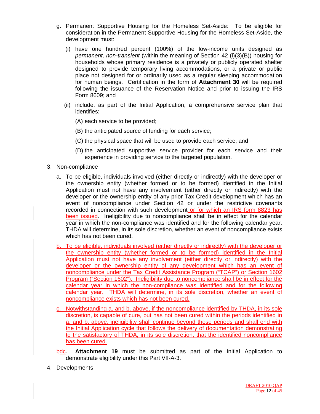- g. Permanent Supportive Housing for the Homeless Set-Aside: To be eligible for consideration in the Permanent Supportive Housing for the Homeless Set-Aside, the development must:
	- (i) have one hundred percent (100%) of the low-income units designed as *permanent, non-transient* (within the meaning of Section 42 (i)(3)(B)) housing for households whose primary residence is a privately or publicly operated shelter designed to provide temporary living accommodations, or a private or public place not designed for or ordinarily used as a regular sleeping accommodation for human beings. Certification in the form of **Attachment 30** will be required following the issuance of the Reservation Notice and prior to issuing the IRS Form 8609; and
	- (ii) include, as part of the Initial Application, a comprehensive service plan that identifies:
		- (A) each service to be provided;
		- (B) the anticipated source of funding for each service;
		- (C) the physical space that will be used to provide each service; and
		- (D) the anticipated supportive service provider for each service and their experience in providing service to the targeted population.
- 3. Non-compliance
	- a. To be eligible, individuals involved (either directly or indirectly) with the developer or the ownership entity (whether formed or to be formed) identified in the Initial Application must not have any involvement (either directly or indirectly) with the developer or the ownership entity of any prior Tax Credit development which has an event of noncompliance under Section 42 or under the restrictive covenants recorded in connection with such development or for which an IRS form 8823 has been issued. Ineligibility due to noncompliance shall be in effect for the calendar year in which the non-compliance was identified and for the following calendar year. THDA will determine, in its sole discretion, whether an event of noncompliance exists which has not been cured.
	- b. To be eligible, individuals involved (either directly or indirectly) with the developer or the ownership entity (whether formed or to be formed) identified in the Initial Application must not have any involvement (either directly or indirectly) with the developer or the ownership entity of any development which has an event of noncompliance under the Tax Credit Assistance Program ("TCAP") or Section 1602 Program ("Section 1602"). Ineligibility due to noncompliance shall be in effect for the calendar year in which the non-compliance was identified and for the following calendar year. THDA will determine, in its sole discretion, whether an event of noncompliance exists which has not been cured.
	- c. Notwithstanding a. and b. above, if the noncompliance identified by THDA, in its sole discretion, is capable of cure, but has not been cured within the periods identified in a. and b. above, ineligibility shall continue beyond those periods and shall end with the Initial Application cycle that follows the delivery of documentation demonstrating to the satisfactory of THDA, in its sole discretion, that the identified noncompliance has been cured.
	- bdc. **Attachment 19** must be submitted as part of the Initial Application to demonstrate eligibility under this Part VII-A-3.
- 4. Developments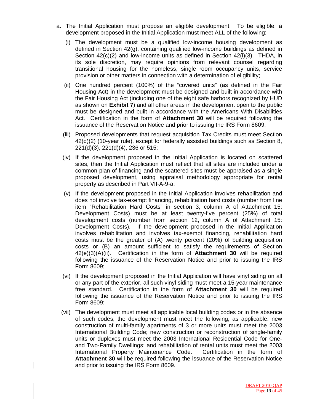- a. The Initial Application must propose an eligible development. To be eligible, a development proposed in the Initial Application must meet ALL of the following:
	- (i) The development must be a qualified low-income housing development as defined in Section 42(g), containing qualified low-income buildings as defined in Section 42(c)(2) and low-income units as defined in Section 42(i)(3). THDA, in its sole discretion, may require opinions from relevant counsel regarding transitional housing for the homeless, single room occupancy units, service provision or other matters in connection with a determination of eligibility;
	- (ii) One hundred percent (100%) of the "covered units" (as defined in the Fair Housing Act) in the development must be designed and built in accordance with the Fair Housing Act (including one of the eight safe harbors recognized by HUD as shown on **Exhibit 7**) and all other areas in the development open to the public must be designed and built in accordance with the Americans With Disabilities Act. Certification in the form of **Attachment 30** will be required following the issuance of the Reservation Notice and prior to issuing the IRS Form 8609;
	- (iii) Proposed developments that request acquisition Tax Credits must meet Section 42(d)(2) (10-year rule), except for federally assisted buildings such as Section 8, 221(d)(3), 221(d)(4), 236 or 515;
	- (iv) If the development proposed in the Initial Application is located on scattered sites, then the Initial Application must reflect that all sites are included under a common plan of financing and the scattered sites must be appraised as a single proposed development, using appraisal methodology appropriate for rental property as described in Part VII-A-9-a;
	- (v) If the development proposed in the Initial Application involves rehabilitation and does not involve tax-exempt financing, rehabilitation hard costs (number from line item "Rehabilitation Hard Costs" in section 3, column A of Attachment 15: Development Costs) must be at least twenty-five percent (25%) of total development costs (number from section 12, column A of Attachment 15: Development Costs). If the development proposed in the Initial Application involves rehabilitation and involves tax-exempt financing, rehabilitation hard costs must be the greater of (A) twenty percent (20%) of building acquisition costs or (B) an amount sufficient to satisfy the requirements of Section 42(e)(3)(A)(ii). Certification in the form of **Attachment 30** will be required following the issuance of the Reservation Notice and prior to issuing the IRS Form 8609;
	- (vi) If the development proposed in the Initial Application will have vinyl siding on all or any part of the exterior, all such vinyl siding must meet a 15-year maintenance free standard. Certification in the form of **Attachment 30** will be required following the issuance of the Reservation Notice and prior to issuing the IRS Form 8609;
	- (vii) The development must meet all applicable local building codes or in the absence of such codes, the development must meet the following, as applicable: new construction of multi-family apartments of 3 or more units must meet the 2003 International Building Code; new construction or reconstruction of single-family units or duplexes must meet the 2003 International Residential Code for Oneand Two-Family Dwellings; and rehabilitation of rental units must meet the 2003 International Property Maintenance Code. Certification in the form of **Attachment 30** will be required following the issuance of the Reservation Notice and prior to issuing the IRS Form 8609.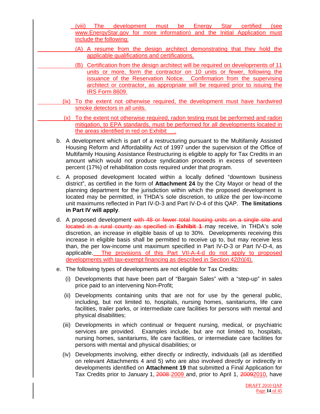(viii) The development must be Energy Star certified (see www.EnergyStar.gov for more information) and the Initial Application must include the following:

- (A) A resume from the design architect demonstrating that they hold the applicable qualifications and certifications.
- (B) Certification from the design architect will be required on developments of 11 units or more, form the contractor on 10 units or fewer, following the issuance of the Reservation Notice. Confirmation from the supervising architect or contractor, as appropriate will be required prior to issuing the IRS Form 8609.
- (ix) To the extent not otherwise required, the development must have hardwired smoke detectors in all units.
- (x) To the extent not otherwise required, radon testing must be performed and radon mitigation, to EPA standards, must be performed for all developments located in the areas identified in red on Exhibit
- b. A development which is part of a restructuring pursuant to the Multifamily Assisted Housing Reform and Affordability Act of 1997 under the supervision of the Office of Multifamily Housing Assistance Restructuring is eligible to apply for Tax Credits in an amount which would not produce syndication proceeds in excess of seventeen percent (17%) of rehabilitation costs required under that program.
- c. A proposed development located within a locally defined "downtown business district", as certified in the form of **Attachment 24** by the City Mayor or head of the planning department for the jurisdiction within which the proposed development is located may be permitted, in THDA's sole discretion, to utilize the per low-income unit maximums reflected in Part IV-D-3 and Part IV-D-4 of this QAP. **The limitations in Part IV will apply**.
- d. A proposed development with 48 or fewer total housing units on a single site and located in a rural county as specified in **Exhibit 1** may receive, in THDA's sole discretion, an increase in eligible basis of up to 30%. Developments receiving this increase in eligible basis shall be permitted to receive up to, but may receive less than, the per low-income unit maximum specified in Part IV-D-3 or Part IV-D-4, as applicable. The provisions of this Part VII-A-4-d do not apply to proposed developments with tax-exempt financing as described in Section 42(h)(4).
- e. The following types of developments are not eligible for Tax Credits:
	- (i) Developments that have been part of "Bargain Sales" with a "step-up" in sales price paid to an intervening Non-Profit;
	- (ii) Developments containing units that are not for use by the general public, including, but not limited to, hospitals, nursing homes, sanitariums, life care facilities, trailer parks, or intermediate care facilities for persons with mental and physical disabilities;
	- (iii) Developments in which continual or frequent nursing, medical, or psychiatric services are provided. Examples include, but are not limited to, hospitals, nursing homes, sanitariums, life care facilities, or intermediate care facilities for persons with mental and physical disabilities; or
	- (iv) Developments involving, either directly or indirectly, individuals (all as identified on relevant Attachments 4 and 5) who are also involved directly or indirectly in developments identified on **Attachment 19** that submitted a Final Application for Tax Credits prior to January 1, 2008 2009 and, prior to April 1, 20092010, have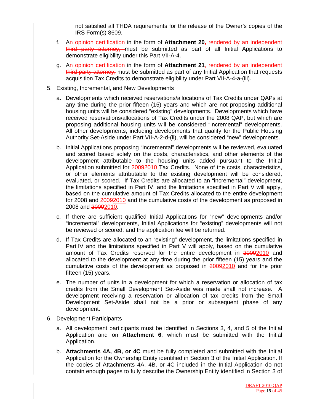not satisfied all THDA requirements for the release of the Owner's copies of the IRS Form(s) 8609.

- f. An opinion certification in the form of **Attachment 20,** rendered by an independent third party attorney, must be submitted as part of all Initial Applications to demonstrate eligibility under this Part VII-A-4.
- g. An opinion certification in the form of **Attachment 21**, rendered by an independent third party attorney, must be submitted as part of any Initial Application that requests acquisition Tax Credits to demonstrate eligibility under Part VII-A-4-a-(iii).
- 5. Existing, Incremental, and New Developments
	- a. Developments which received reservations/allocations of Tax Credits under QAPs at any time during the prior fifteen (15) years and which are not proposing additional housing units will be considered "existing" developments. Developments which have received reservations/allocations of Tax Credits under the 2008 QAP, but which are proposing additional housing units will be considered "incremental" developments. All other developments, including developments that qualify for the Public Housing Authority Set-Aside under Part VII-A-2-d-(ii), will be considered "new" developments.
	- b. Initial Applications proposing "incremental" developments will be reviewed, evaluated and scored based solely on the costs, characteristics, and other elements of the development attributable to the housing units added pursuant to the Initial Application submitted for 20092010 Tax Credits. None of the costs, characteristics, or other elements attributable to the existing development will be considered, evaluated, or scored. If Tax Credits are allocated to an "incremental" development, the limitations specified in Part IV, and the limitations specified in Part V will apply, based on the cumulative amount of Tax Credits allocated to the entire development for 2008 and 20092010 and the cumulative costs of the development as proposed in 2008 and 20092010.
	- c. If there are sufficient qualified Initial Applications for "new" developments and/or "incremental" developments, Initial Applications for "existing" developments will not be reviewed or scored, and the application fee will be returned.
	- d. If Tax Credits are allocated to an "existing" development, the limitations specified in Part IV and the limitations specified in Part V will apply, based on the cumulative amount of Tax Credits reserved for the entire development in 20092010 and allocated to the development at any time during the prior fifteen (15) years and the cumulative costs of the development as proposed in 20092010 and for the prior fifteen (15) years.
	- e. The number of units in a development for which a reservation or allocation of tax credits from the Small Development Set-Aside was made shall not increase. A development receiving a reservation or allocation of tax credits from the Small Development Set-Aside shall not be a prior or subsequent phase of any development.
- 6. Development Participants
	- a. All development participants must be identified in Sections 3, 4, and 5 of the Initial Application and on **Attachment 6**, which must be submitted with the Initial Application.
	- b. **Attachments 4A, 4B, or 4C** must be fully completed and submitted with the Initial Application for the Ownership Entity identified in Section 3 of the Initial Application. If the copies of Attachments 4A, 4B, or 4C included in the Initial Application do not contain enough pages to fully describe the Ownership Entity identified in Section 3 of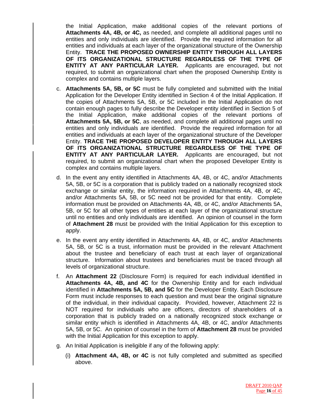the Initial Application, make additional copies of the relevant portions of **Attachments 4A, 4B, or 4C,** as needed, and complete all additional pages until no entities and only individuals are identified. Provide the required information for all entities and individuals at each layer of the organizational structure of the Ownership Entity. **TRACE THE PROPOSED OWNERSHIP ENTITY THROUGH ALL LAYERS OF ITS ORGANIZATIONAL STRUCTURE REGARDLESS OF THE TYPE OF ENTITY AT ANY PARTICULAR LAYER.** Applicants are encouraged, but not required, to submit an organizational chart when the proposed Ownership Entity is complex and contains multiple layers.

- c. **Attachments 5A, 5B, or 5C** must be fully completed and submitted with the Initial Application for the Developer Entity identified in Section 4 of the Initial Application. If the copies of Attachments 5A, 5B, or 5C included in the Initial Application do not contain enough pages to fully describe the Developer entity identified in Section 5 of the Initial Application, make additional copies of the relevant portions of **Attachments 5A, 5B, or 5C**, as needed, and complete all additional pages until no entities and only individuals are identified. Provide the required information for all entities and individuals at each layer of the organizational structure of the Developer Entity. **TRACE THE PROPOSED DEVELOPER ENTITY THROUGH ALL LAYERS OF ITS ORGANIZATIONAL STRUCTURE REGARDLESS OF THE TYPE OF ENTITY AT ANY PARTICULAR LAYER.** Applicants are encouraged, but not required, to submit an organizational chart when the proposed Developer Entity is complex and contains multiple layers.
- d. In the event any entity identified in Attachments 4A, 4B, or 4C, and/or Attachments 5A, 5B, or 5C is a corporation that is publicly traded on a nationally recognized stock exchange or similar entity, the information required in Attachments 4A, 4B, or 4C, and/or Attachments 5A, 5B, or 5C need not be provided for that entity. Complete information must be provided on Attachments 4A, 4B, or 4C, and/or Attachments 5A, 5B, or 5C for all other types of entities at each layer of the organizational structure until no entities and only individuals are identified. An opinion of counsel in the form of **Attachment 28** must be provided with the Initial Application for this exception to apply.
- e. In the event any entity identified in Attachments 4A, 4B, or 4C, and/or Attachments 5A, 5B, or 5C is a trust, information must be provided in the relevant Attachment about the trustee and beneficiary of each trust at each layer of organizational structure. Information about trustees and beneficiaries must be traced through all levels of organizational structure.
- f. An **Attachment 22** (Disclosure Form) is required for each individual identified in **Attachments 4A, 4B, and 4C** for the Ownership Entity and for each individual identified in **Attachments 5A, 5B, and 5C** for the Developer Entity. Each Disclosure Form must include responses to each question and must bear the original signature of the individual, in their individual capacity. Provided, however, Attachment 22 is NOT required for individuals who are officers, directors of shareholders of a corporation that is publicly traded on a nationally recognized stock exchange or similar entity which is identified in Attachments 4A, 4B, or 4C, and/or Attachments 5A, 5B, or 5C. An opinion of counsel in the form of **Attachment 28** must be provided with the Initial Application for this exception to apply.
- g. An Initial Application is ineligible if any of the following apply:
	- (i) **Attachment 4A, 4B, or 4C** is not fully completed and submitted as specified above.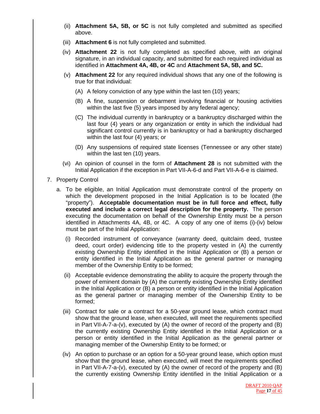- (ii) **Attachment 5A, 5B, or 5C** is not fully completed and submitted as specified above.
- (iii) **Attachment 6** is not fully completed and submitted.
- (iv) **Attachment 22** is not fully completed as specified above, with an original signature, in an individual capacity, and submitted for each required individual as identified in **Attachment 4A, 4B, or 4C** and **Attachment 5A, 5B, and 5C.**
- (v) **Attachment 22** for any required individual shows that any one of the following is true for that individual:
	- (A) A felony conviction of any type within the last ten (10) years;
	- (B) A fine, suspension or debarment involving financial or housing activities within the last five (5) years imposed by any federal agency;
	- (C) The individual currently in bankruptcy or a bankruptcy discharged within the last four (4) years or any organization or entity in which the individual had significant control currently is in bankruptcy or had a bankruptcy discharged within the last four (4) years; or
	- (D) Any suspensions of required state licenses (Tennessee or any other state) within the last ten (10) years.
- (vi) An opinion of counsel in the form of **Attachment 28** is not submitted with the Initial Application if the exception in Part VII-A-6-d and Part VII-A-6-e is claimed.
- 7. Property Control
	- a. To be eligible, an Initial Application must demonstrate control of the property on which the development proposed in the Initial Application is to be located (the "property"). **Acceptable documentation must be in full force and effect, fully executed and include a correct legal description for the property.** The person executing the documentation on behalf of the Ownership Entity must be a person identified in Attachments 4A, 4B, or 4C. A copy of any one of items (i)-(iv) below must be part of the Initial Application:
		- (i) Recorded instrument of conveyance (warranty deed, quitclaim deed, trustee deed, court order) evidencing title to the property vested in (A) the currently existing Ownership Entity identified in the Initial Application or (B) a person or entity identified in the Initial Application as the general partner or managing member of the Ownership Entity to be formed;
		- (ii) Acceptable evidence demonstrating the ability to acquire the property through the power of eminent domain by (A) the currently existing Ownership Entity identified in the Initial Application or (B) a person or entity identified in the Initial Application as the general partner or managing member of the Ownership Entity to be formed;
		- (iii) Contract for sale or a contract for a 50-year ground lease, which contract must show that the ground lease, when executed, will meet the requirements specified in Part VII-A-7-a-(v), executed by (A) the owner of record of the property and (B) the currently existing Ownership Entity identified in the Initial Application or a person or entity identified in the Initial Application as the general partner or managing member of the Ownership Entity to be formed; or
		- (iv) An option to purchase or an option for a 50-year ground lease, which option must show that the ground lease, when executed, will meet the requirements specified in Part VII-A-7-a-(v), executed by (A) the owner of record of the property and (B) the currently existing Ownership Entity identified in the Initial Application or a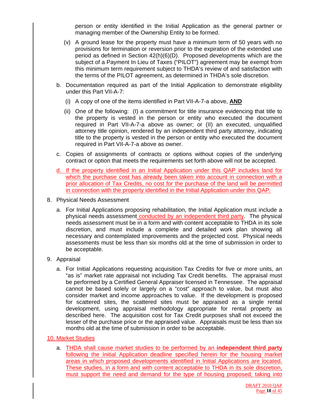person or entity identified in the Initial Application as the general partner or managing member of the Ownership Entity to be formed.

- (v) A ground lease for the property must have a minimum term of 50 years with no provisions for termination or reversion prior to the expiration of the extended use period as defined in Section 42(h)(6)(D). Proposed developments which are the subject of a Payment In Lieu of Taxes ("PILOT") agreement may be exempt from this minimum term requirement subject to THDA's review of and satisfaction with the terms of the PILOT agreement, as determined in THDA's sole discretion.
- b. Documentation required as part of the Initial Application to demonstrate eligibility under this Part VII-A-7:
	- (i) A copy of one of the items identified in Part VII-A-7-a above, **AND**
	- (ii) One of the following: (I) a commitment for title insurance evidencing that title to the property is vested in the person or entity who executed the document required in Part VII-A-7-a above as owner; or (II) an executed, unqualified attorney title opinion, rendered by an independent third party attorney, indicating title to the property is vested in the person or entity who executed the document required in Part VII-A-7-a above as owner.
- c. Copies of assignments of contracts or options without copies of the underlying contract or option that meets the requirements set forth above will not be accepted.
- d. If the property identified in an Initial Application under this QAP includes land for which the purchase cost has already been taken into account in connection with a prior allocation of Tax Credits, no cost for the purchase of the land will be permitted in connection with the property identified in the Initial Application under this QAP.
- 8. Physical Needs Assessment
	- a. For Initial Applications proposing rehabilitation, the Initial Application must include a physical needs assessment conducted by an independent third party. The physical needs assessment must be in a form and with content acceptable to THDA in its sole discretion, and must include a complete and detailed work plan showing all necessary and contemplated improvements and the projected cost. Physical needs assessments must be less than six months old at the time of submission in order to be acceptable.
- 9. Appraisal
	- a. For Initial Applications requesting acquisition Tax Credits for five or more units, an "as is" market rate appraisal not including Tax Credit benefits. The appraisal must be performed by a Certified General Appraiser licensed in Tennessee. The appraisal cannot be based solely or largely on a "cost" approach to value, but must also consider market and income approaches to value. If the development is proposed for scattered sites, the scattered sites must be appraised as a single rental development, using appraisal methodology appropriate for rental property as described here. The acquisition cost for Tax Credit purposes shall not exceed the lesser of the purchase price or the appraised value. Appraisals must be less than six months old at the time of submission in order to be acceptable.

#### 10. Market Studies

a. THDA shall cause market studies to be performed by an **independent third party** following the Initial Application deadline specified herein for the housing market areas in which proposed developments identified in Initial Applications are located. These studies, in a form and with content acceptable to THDA in its sole discretion, must support the need and demand for the type of housing proposed, taking into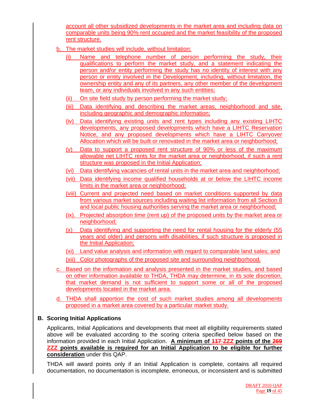account all other subsidized developments in the market area and including data on comparable units being 90% rent occupied and the market feasibility of the proposed rent structure.

- b. The market studies will include, without limitation:
	- (i) Name and telephone number of person performing the study, their qualifications to perform the market study, and a statement indicating the person and/or entity performing the study has no identity of interest with any person or entity involved in the Development, including, without limitation, the ownership entity and any of its partners, any other member of the development team, or any individuals involved in any such entities;
	- (ii) On site field study by person performing the market study;
	- (iii) Data identifying and describing the market areas, neighborhood and site, including geographic and demographic information;
	- (iv) Data identifying existing units and rent types including any existing LIHTC developments, any proposed developments which have a LIHTC Reservation Notice, and any proposed developments which have a LIHTC Carryover Allocation which will be built or renovated in the market area or neighborhood;
	- (v) Data to support a proposed rent structure of 90% or less of the maximum allowable net LIHTC rents for the market area or neighborhood, if such a rent structure was proposed in the Initial Application;
	- (vi) Data identifying vacancies of rental units in the market area and neighborhood;
	- (vii) Data identifying income qualified households at or below the LIHTC income limits in the market area or neighborhood;
	- (viii) Current and projected need based on market conditions supported by data from various market sources including waiting list information from all Section 8 and local public housing authorities serving the market area or neighborhood;
	- (ix). Projected absorption time (rent up) of the proposed units by the market area or neighborhood;
	- (x) Data identifying and supporting the need for rental housing for the elderly (55 years and older) and persons with disabilities, if such structure is proposed in the Initial Application;
	- (xi) Land value analysis and information with regard to comparable land sales; and (xii) Color photographs of the proposed site and surrounding neighborhood.
- c. Based on the information and analysis presented in the market studies, and based on other information available to THDA, THDA may determine, in its sole discretion, that market demand is not sufficient to support some or all of the proposed developments located in the market area.
- d. THDA shall apportion the cost of such market studies among all developments proposed in a market area covered by a particular market study.

# **B. Scoring Initial Applications**

Applicants, Initial Applications and developments that meet all eligibility requirements stated above will be evaluated according to the scoring criteria specified below based on the information provided in each Initial Application. **A minimum of 117 ZZZ points of the 269 ZZZ points available is required for an Initial Application to be eligible for further consideration** under this QAP.

THDA will award points only if an Initial Application is complete, contains all required documentation, no documentation is incomplete, erroneous, or inconsistent and is submitted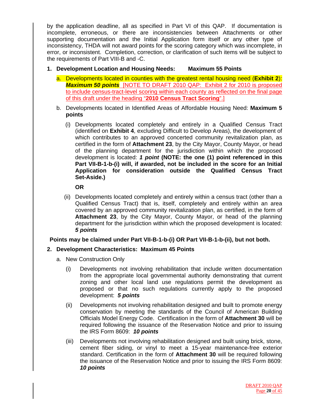by the application deadline, all as specified in Part VI of this QAP. If documentation is incomplete, erroneous, or there are inconsistencies between Attachments or other supporting documentation and the Initial Application form itself or any other type of inconsistency, THDA will not award points for the scoring category which was incomplete, in error, or inconsistent. Completion, correction, or clarification of such items will be subject to the requirements of Part VIII-B and -C.

- **1. Development Location and Housing Needs: Maximum 55 Points**
	- a. Developments located in counties with the greatest rental housing need (**Exhibit 2**): *Maximum 50 points* [NOTE TO DRAFT 2010 QAP: Exhibit 2 for 2010 is proposed to include census-tract-level scoring within each county as reflected on the final page of this draft under the heading "**2010 Census Tract Scoring**".]
	- b. Developments located in Identified Areas of Affordable Housing Need: **Maximum 5 points** 
		- (i) Developments located completely and entirely in a Qualified Census Tract (identified on **Exhibit 4**, excluding Difficult to Develop Areas), the development of which contributes to an approved concerted community revitalization plan, as certified in the form of **Attachment 23**, by the City Mayor, County Mayor, or head of the planning department for the jurisdiction within which the proposed development is located: *1 point* **(NOTE: the one (1) point referenced in this Part VII-B-1-b-(i) will, if awarded, not be included in the score for an Initial Application for consideration outside the Qualified Census Tract Set-Aside.)**

 **OR**

 (ii) Developments located completely and entirely within a census tract (other than a Qualified Census Tract) that is, itself, completely and entirely within an area covered by an approved community revitalization plan, as certified, in the form of **Attachment 23**, by the City Mayor, County Mayor, or head of the planning department for the jurisdiction within which the proposed development is located: *5 points*

#### **Points may be claimed under Part VII-B-1-b-(i) OR Part VII-B-1-b-(ii), but not both.**

#### **2. Development Characteristics: Maximum 45 Points**

- a. New Construction Only
	- (i) Developments not involving rehabilitation that include written documentation from the appropriate local governmental authority demonstrating that current zoning and other local land use regulations permit the development as proposed or that no such regulations currently apply to the proposed development: *5 points*
	- (ii) Developments not involving rehabilitation designed and built to promote energy conservation by meeting the standards of the Council of American Building Officials Model Energy Code. Certification in the form of **Attachment 30** will be required following the issuance of the Reservation Notice and prior to issuing the IRS Form 8609: *10 points*
	- (iii) Developments not involving rehabilitation designed and built using brick, stone, cement fiber siding, or vinyl to meet a 15-year maintenance-free exterior standard. Certification in the form of **Attachment 30** will be required following the issuance of the Reservation Notice and prior to issuing the IRS Form 8609: *10 points*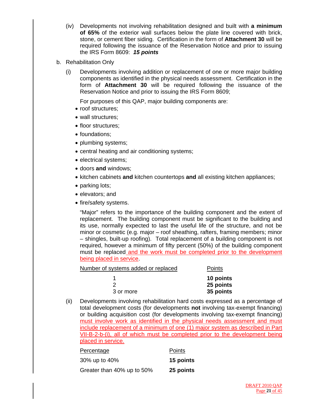- (iv) Developments not involving rehabilitation designed and built with **a minimum of 65%** of the exterior wall surfaces below the plate line covered with brick, stone, or cement fiber siding. Certification in the form of **Attachment 30** will be required following the issuance of the Reservation Notice and prior to issuing the IRS Form 8609: *15 points*
- b. Rehabilitation Only
	- (i) Developments involving addition or replacement of one or more major building components as identified in the physical needs assessment. Certification in the form of **Attachment 30** will be required following the issuance of the Reservation Notice and prior to issuing the IRS Form 8609;

For purposes of this QAP, major building components are:

- roof structures;
- wall structures;
- floor structures:
- foundations;
- plumbing systems;
- central heating and air conditioning systems;
- electrical systems;
- doors **and** windows;
- kitchen cabinets **and** kitchen countertops **and** all existing kitchen appliances;
- parking lots;
- elevators; and
- fire/safety systems.

 "Major" refers to the importance of the building component and the extent of replacement. The building component must be significant to the building and its use, normally expected to last the useful life of the structure, and not be minor or cosmetic (e.g. major – roof sheathing, rafters, framing members; minor – shingles, built-up roofing). Total replacement of a building component is not required, however a minimum of fifty percent (50%) of the building component must be replaced and the work must be completed prior to the development being placed in service.

Number of systems added or replaced Points

|           | 10 points |
|-----------|-----------|
|           | 25 points |
| 3 or more | 35 points |

(ii) Developments involving rehabilitation hard costs expressed as a percentage of total development costs (for developments **not** involving tax-exempt financing) or building acquisition cost (for developments involving tax-exempt financing) must involve work as identified in the physical needs assessment and must include replacement of a minimum of one (1) major system as described in Part VII-B-2-b-(i), all of which must be completed prior to the development being placed in service.

| Percentage                 | Points    |
|----------------------------|-----------|
| 30% up to 40%              | 15 points |
| Greater than 40% up to 50% | 25 points |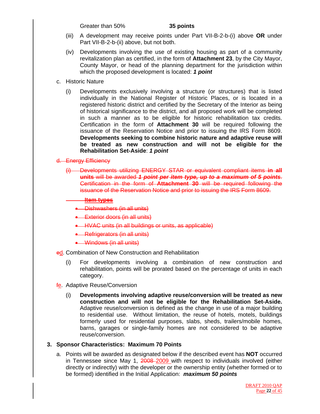Greater than 50% **35 points** 

- (iii) A development may receive points under Part VII-B-2-b-(i) above **OR** under Part VII-B-2-b-(ii) above, but not both.
- (iv) Developments involving the use of existing housing as part of a community revitalization plan as certified, in the form of **Attachment 23**, by the City Mayor, County Mayor, or head of the planning department for the jurisdiction within which the proposed development is located: *1 point*
- c. Historic Nature
	- (i) Developments exclusively involving a structure (or structures) that is listed individually in the National Register of Historic Places, or is located in a registered historic district and certified by the Secretary of the Interior as being of historical significance to the district, and all proposed work will be completed in such a manner as to be eligible for historic rehabilitation tax credits. Certification in the form of **Attachment 30** will be required following the issuance of the Reservation Notice and prior to issuing the IRS Form 8609. **Developments seeking to combine historic nature and adaptive reuse will be treated as new construction and will not be eligible for the Rehabilitation Set-Aside**: *1 point*

#### d. Energy Efficiency

(i) Developments utilizing ENERGY STAR or equivalent compliant items **in all units** will be awarded *1 point per item type, up to a maximum of 5 points*. Certification in the form of **Attachment 30** will be required following the issuance of the Reservation Notice and prior to issuing the IRS Form 8609.

#### **Item types**

- Dishwashers (in all units)
- Exterior doors (in all units)
- HVAC units (in all buildings or units, as applicable)
- Refrigerators (in all units)
- Windows (in all units)

#### ed. Combination of New Construction and Rehabilitation

- (i) For developments involving a combination of new construction and rehabilitation, points will be prorated based on the percentage of units in each category.
- fe. Adaptive Reuse/Conversion
	- (i) **Developments involving adaptive reuse/conversion will be treated as new construction and will not be eligible for the Rehabilitation Set-Aside.** Adaptive reuse/conversion is defined as the change in use of a major building to residential use. Without limitation, the reuse of hotels, motels, buildings formerly used for residential purposes, slabs, sheds, trailers/mobile homes, barns, garages or single-family homes are not considered to be adaptive reuse/conversion.

#### **3. Sponsor Characteristics: Maximum 70 Points**

a. Points will be awarded as designated below if the described event has **NOT** occurred in Tennessee since May 1, 2008–2009 with respect to individuals involved (either directly or indirectly) with the developer or the ownership entity (whether formed or to be formed) identified in the Initial Application: *maximum 50 points*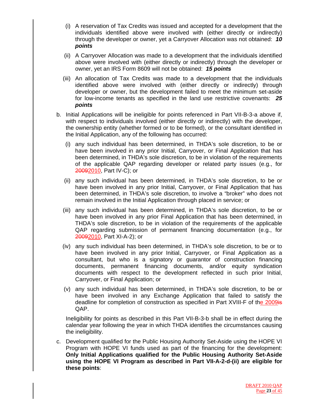- (i) A reservation of Tax Credits was issued and accepted for a development that the individuals identified above were involved with (either directly or indirectly) through the developer or owner, yet a Carryover Allocation was not obtained: *10 points*
- (ii) A Carryover Allocation was made to a development that the individuals identified above were involved with (either directly or indirectly) through the developer or owner, yet an IRS Form 8609 will not be obtained: *15 points*
- (iii) An allocation of Tax Credits was made to a development that the individuals identified above were involved with (either directly or indirectly) through developer or owner, but the development failed to meet the minimum set-aside for low-income tenants as specified in the land use restrictive covenants: *25 points*
- b. Initial Applications will be ineligible for points referenced in Part VII-B-3-a above if, with respect to individuals involved (either directly or indirectly) with the developer, the ownership entity (whether formed or to be formed), or the consultant identified in the Initial Application, any of the following has occurred:
	- (i) any such individual has been determined, in THDA's sole discretion, to be or have been involved in any prior Initial, Carryover, or Final Application that has been determined, in THDA's sole discretion, to be in violation of the requirements of the applicable QAP regarding developer or related party issues (e.g., for 20092010, Part IV-C); or
	- (ii) any such individual has been determined, in THDA's sole discretion, to be or have been involved in any prior Initial, Carryover, or Final Application that has been determined, in THDA's sole discretion, to involve a "broker" who does not remain involved in the Initial Application through placed in service; or
	- (iii) any such individual has been determined, in THDA's sole discretion, to be or have been involved in any prior Final Application that has been determined, in THDA's sole discretion, to be in violation of the requirements of the applicable QAP regarding submission of permanent financing documentation (e.g., for 20092010, Part XI-A-2); or
	- (iv) any such individual has been determined, in THDA's sole discretion, to be or to have been involved in any prior Initial, Carryover, or Final Application as a consultant, but who is a signatory or guarantor of construction financing documents, permanent financing documents, and/or equity syndication documents with respect to the development reflected in such prior Initial, Carryover, or Final Application; or
	- (v) any such individual has been determined, in THDA's sole discretion, to be or have been involved in any Exchange Application that failed to satisfy the deadline for completion of construction as specified in Part XVIII-F of the 2009is QAP.

 Ineligibility for points as described in this Part VII-B-3-b shall be in effect during the calendar year following the year in which THDA identifies the circumstances causing the ineligibility.

c. Development qualified for the Public Housing Authority Set-Aside using the HOPE VI Program with HOPE VI funds used as part of the financing for the development: **Only Initial Applications qualified for the Public Housing Authority Set-Aside using the HOPE VI Program as described in Part VII-A-2-d-(ii) are eligible for these points**: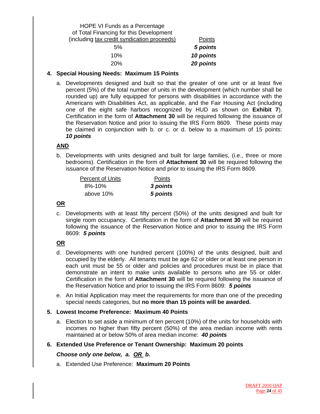# HOPE VI Funds as a Percentage of Total Financing for this Development (including tax credit syndication proceeds) Points 5% *5 points*

| 5 points  | 5%  |
|-----------|-----|
| 10 points | 10% |
| 20 points | 20% |

# **4. Special Housing Needs: Maximum 15 Points**

a. Developments designed and built so that the greater of one unit or at least five percent (5%) of the total number of units in the development (which number shall be rounded up) are fully equipped for persons with disabilities in accordance with the Americans with Disabilities Act, as applicable, and the Fair Housing Act (including one of the eight safe harbors recognized by HUD as shown on **Exhibit 7**). Certification in the form of **Attachment 30** will be required following the issuance of the Reservation Notice and prior to issuing the IRS Form 8609. These points may be claimed in conjunction with b. or c. or d. below to a maximum of 15 points: *10 points*

# **AND**

b. Developments with units designed and built for large families, (i.e., three or more bedrooms). Certification in the form of **Attachment 30** will be required following the issuance of the Reservation Notice and prior to issuing the IRS Form 8609.

| <b>Percent of Units</b> | Points   |
|-------------------------|----------|
| 8%-10%                  | 3 points |
| above 10%               | 5 points |

# **OR**

c. Developments with at least fifty percent (50%) of the units designed and built for single room occupancy. Certification in the form of **Attachment 30** will be required following the issuance of the Reservation Notice and prior to issuing the IRS Form 8609: *5 points* 

# **OR**

- d. Developments with one hundred percent (100%) of the units designed, built and occupied by the elderly. All tenants must be age 62 or older or at least one person in each unit must be 55 or older and policies and procedures must be in place that demonstrate an intent to make units available to persons who are 55 or older. Certification in the form of **Attachment 30** will be required following the issuance of the Reservation Notice and prior to issuing the IRS Form 8609: *5 points*
- e. An Initial Application may meet the requirements for more than one of the preceding special needs categories, but **no more than 15 points will be awarded.**

# **5. Lowest Income Preference: Maximum 40 Points**

- a. Election to set aside a minimum of ten percent (10%) of the units for households with incomes no higher than fifty percent (50%) of the area median income with rents maintained at or below 50% of area median income: *40 points*
- **6. Extended Use Preference or Tenant Ownership: Maximum 20 points**

#### *Choose only one below, a. OR b.*

a. Extended Use Preference: **Maximum 20 Points**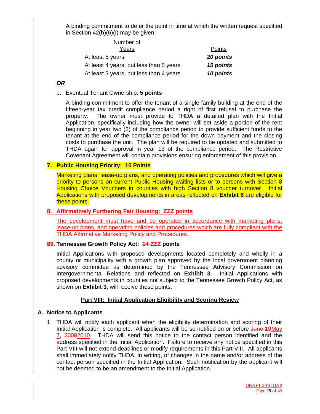A binding commitment to defer the point in time at which the written request specified in Section 42(h)(6)(I) may be given:

| Number of                               |               |
|-----------------------------------------|---------------|
| Years                                   | <b>Points</b> |
| At least 5 years                        | 20 points     |
| At least 4 years, but less than 5 years | 15 points     |
| At least 3 years, but less than 4 years | 10 points     |

# *OR*

#### b. Eventual Tenant Ownership: **5 points**

A binding commitment to offer the tenant of a single family building at the end of the fifteen-year tax credit compliance period a right of first refusal to purchase the property. The owner must provide to THDA a detailed plan with the Initial Application, specifically including how the owner will set aside a portion of the rent beginning in year two (2) of the compliance period to provide sufficient funds to the tenant at the end of the compliance period for the down payment and the closing costs to purchase the unit. The plan will be required to be updated and submitted to THDA again for approval in year 13 of the compliance period. The Restrictive Covenant Agreement will contain provisions ensuring enforcement of this provision.

#### **7. Public Housing Priority: 10 Points**

Marketing plans, lease-up plans, and operating policies and procedures which will give a priority to persons on current Public Housing waiting lists or to persons with Section 8 Housing Choice Vouchers in counties with high Section 8 voucher turnover. Initial Applications with proposed developments in areas reflected on **Exhibit 6** are eligible for these points.

#### **8. Affirmatively Furthering Fair Housing: ZZZ points**

The development must have and be operated in accordance with marketing plans, lease-up plans, and operating policies and procedures which are fully compliant with the THDA Affirmative Marketing Policy and Procedures.

#### **89. Tennessee Growth Policy Act: 14 ZZZ points**

Initial Applications with proposed developments located completely and wholly in a county or municipality with a growth plan approved by the local government planning advisory committee as determined by the Tennessee Advisory Commission on Intergovernmental Relations and reflected on **Exhibit 3**. Initial Applications with proposed developments in counties not subject to the Tennessee Growth Policy Act, as shown on **Exhibit 3**, will receive these points.

#### **Part VIII: Initial Application Eligibility and Scoring Review**

#### **A. Notice to Applicants**

1. THDA will notify each applicant when the eligibility determination and scoring of their Initial Application is complete. All applicants will be so notified on or before June 19May 7, 20092010. THDA will send this notice to the contact person identified and the address specified in the Initial Application. Failure to receive any notice specified in this Part VIII will not extend deadlines or modify requirements in this Part VIII. All applicants shall immediately notify THDA, in writing, of changes in the name and/or address of the contact person specified in the Initial Application. Such notification by the applicant will not be deemed to be an amendment to the Initial Application.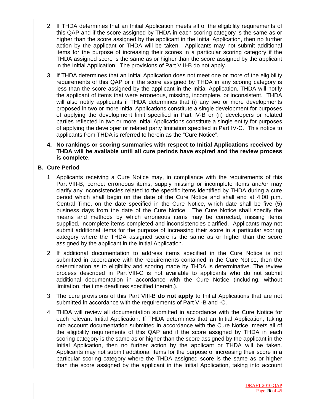- 2. If THDA determines that an Initial Application meets all of the eligibility requirements of this QAP and if the score assigned by THDA in each scoring category is the same as or higher than the score assigned by the applicant in the Initial Application, then no further action by the applicant or THDA will be taken. Applicants may not submit additional items for the purpose of increasing their scores in a particular scoring category if the THDA assigned score is the same as or higher than the score assigned by the applicant in the Initial Application. The provisions of Part VIII-B do not apply.
- 3. If THDA determines that an Initial Application does not meet one or more of the eligibility requirements of this QAP or if the score assigned by THDA in any scoring category is less than the score assigned by the applicant in the Initial Application, THDA will notify the applicant of items that were erroneous, missing, incomplete, or inconsistent. THDA will also notify applicants if THDA determines that (i) any two or more developments proposed in two or more Initial Applications constitute a single development for purposes of applying the development limit specified in Part IV-B or (ii) developers or related parties reflected in two or more Initial Applications constitute a single entity for purposes of applying the developer or related party limitation specified in Part IV-C. This notice to applicants from THDA is referred to herein as the "Cure Notice".
- **4. No rankings or scoring summaries with respect to Initial Applications received by THDA will be available until all cure periods have expired and the review process is complete**.

# **B. Cure Period**

- 1. Applicants receiving a Cure Notice may, in compliance with the requirements of this Part VIII-B, correct erroneous items, supply missing or incomplete items and/or may clarify any inconsistencies related to the specific items identified by THDA during a cure period which shall begin on the date of the Cure Notice and shall end at 4:00 p.m. Central Time, on the date specified in the Cure Notice, which date shall be five (5) business days from the date of the Cure Notice. The Cure Notice shall specify the means and methods by which erroneous items may be corrected, missing items supplied, incomplete items completed and inconsistencies clarified. Applicants may not submit additional items for the purpose of increasing their score in a particular scoring category where the THDA assigned score is the same as or higher than the score assigned by the applicant in the Initial Application.
- 2. If additional documentation to address items specified in the Cure Notice is not submitted in accordance with the requirements contained in the Cure Notice, then the determination as to eligibility and scoring made by THDA is determinative. The review process described in Part VIII-C is not available to applicants who do not submit additional documentation in accordance with the Cure Notice (including, without limitation, the time deadlines specified therein.).
- 3. The cure provisions of this Part VIII-B **do not apply** to Initial Applications that are not submitted in accordance with the requirements of Part VI-B and -C.
- 4. THDA will review all documentation submitted in accordance with the Cure Notice for each relevant Initial Application. If THDA determines that an Initial Application, taking into account documentation submitted in accordance with the Cure Notice, meets all of the eligibility requirements of this QAP and if the score assigned by THDA in each scoring category is the same as or higher than the score assigned by the applicant in the Initial Application, then no further action by the applicant or THDA will be taken. Applicants may not submit additional items for the purpose of increasing their score in a particular scoring category where the THDA assigned score is the same as or higher than the score assigned by the applicant in the Initial Application, taking into account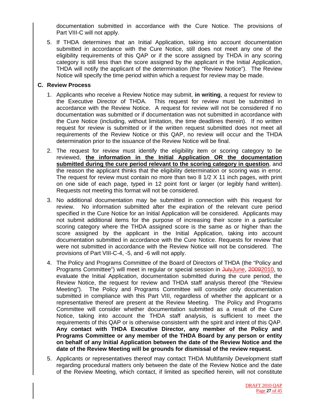documentation submitted in accordance with the Cure Notice. The provisions of Part VIII-C will not apply.

5. If THDA determines that an Initial Application, taking into account documentation submitted in accordance with the Cure Notice, still does not meet any one of the eligibility requirements of this QAP or if the score assigned by THDA in any scoring category is still less than the score assigned by the applicant in the Initial Application, THDA will notify the applicant of the determination (the "Review Notice"). The Review Notice will specify the time period within which a request for review may be made.

#### **C. Review Process**

- 1. Applicants who receive a Review Notice may submit, **in writing**, a request for review to the Executive Director of THDA. This request for review must be submitted in accordance with the Review Notice. A request for review will not be considered if no documentation was submitted or if documentation was not submitted in accordance with the Cure Notice (including, without limitation, the time deadlines therein). If no written request for review is submitted or if the written request submitted does not meet all requirements of the Review Notice or this QAP, no review will occur and the THDA determination prior to the issuance of the Review Notice will be final.
- 2. The request for review must identify the eligibility item or scoring category to be reviewed, **the information in the Initial Application OR the documentation submitted during the cure period relevant to the scoring category in question**, and the reason the applicant thinks that the eligibility determination or scoring was in error. The request for review must contain no more than two 8 1/2 X 11 inch pages, with print on one side of each page, typed in 12 point font or larger (or legibly hand written). Requests not meeting this format will not be considered.
- 3. No additional documentation may be submitted in connection with this request for review. No information submitted after the expiration of the relevant cure period specified in the Cure Notice for an Initial Application will be considered. Applicants may not submit additional items for the purpose of increasing their score in a particular scoring category where the THDA assigned score is the same as or higher than the score assigned by the applicant in the Initial Application, taking into account documentation submitted in accordance with the Cure Notice. Requests for review that were not submitted in accordance with the Review Notice will not be considered. The provisions of Part VIII-C-4, -5, and -6 will not apply.
- 4. The Policy and Programs Committee of the Board of Directors of THDA (the "Policy and Programs Committee") will meet in regular or special session in JulyJune, 20092010, to evaluate the Initial Application, documentation submitted during the cure period, the Review Notice, the request for review and THDA staff analysis thereof (the "Review Meeting"). The Policy and Programs Committee will consider only documentation submitted in compliance with this Part VIII, regardless of whether the applicant or a representative thereof are present at the Review Meeting. The Policy and Programs Committee will consider whether documentation submitted as a result of the Cure Notice, taking into account the THDA staff analysis, is sufficient to meet the requirements of this QAP or is otherwise consistent with the spirit and intent of this QAP. **Any contact with THDA Executive Director, any member of the Policy and Programs Committee or any member of the THDA Board by any person or entity on behalf of any Initial Application between the date of the Review Notice and the date of the Review Meeting will be grounds for dismissal of the review request.**
- 5. Applicants or representatives thereof may contact THDA Multifamily Development staff regarding procedural matters only between the date of the Review Notice and the date of the Review Meeting, which contact, if limited as specified herein, will not constitute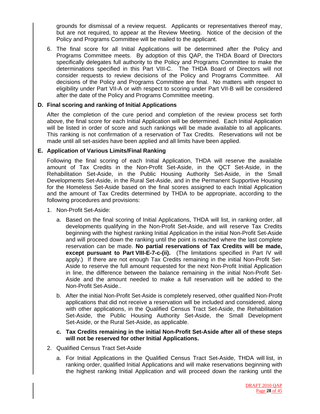grounds for dismissal of a review request. Applicants or representatives thereof may, but are not required, to appear at the Review Meeting. Notice of the decision of the Policy and Programs Committee will be mailed to the applicant.

6. The final score for all Initial Applications will be determined after the Policy and Programs Committee meets. By adoption of this QAP, the THDA Board of Directors specifically delegates full authority to the Policy and Programs Committee to make the determinations specified in this Part VIII-C. The THDA Board of Directors will not consider requests to review decisions of the Policy and Programs Committee. All decisions of the Policy and Programs Committee are final. No matters with respect to eligibility under Part VII-A or with respect to scoring under Part VII-B will be considered after the date of the Policy and Programs Committee meeting.

#### **D. Final scoring and ranking of Initial Applications**

After the completion of the cure period and completion of the review process set forth above, the final score for each Initial Application will be determined. Each Initial Application will be listed in order of score and such rankings will be made available to all applicants. This ranking is not confirmation of a reservation of Tax Credits. Reservations will not be made until all set-asides have been applied and all limits have been applied.

#### **E. Application of Various Limits/Final Ranking**

Following the final scoring of each Initial Application, THDA will reserve the available amount of Tax Credits in the Non-Profit Set-Aside, in the QCT Set-Aside, in the Rehabilitation Set-Aside, in the Public Housing Authority Set-Aside, in the Small Developments Set-Aside, in the Rural Set-Aside, and in the Permanent Supportive Housing for the Homeless Set-Aside based on the final scores assigned to each Initial Application and the amount of Tax Credits determined by THDA to be appropriate, according to the following procedures and provisions:

- 1. Non-Profit Set-Aside:
	- a. Based on the final scoring of Initial Applications, THDA will list, in ranking order, all developments qualifying in the Non-Profit Set-Aside, and will reserve Tax Credits beginning with the highest ranking Initial Application in the initial Non-Profit Set-Aside and will proceed down the ranking until the point is reached where the last complete reservation can be made. **No partial reservations of Tax Credits will be made, except pursuant to Part VIII-E-7-c-(ii).** (The limitations specified in Part IV will apply.) If there are not enough Tax Credits remaining in the initial Non-Profit Set-Aside to reserve the full amount requested for the next Non-Profit Initial Application in line, the difference between the balance remaining in the initial Non-Profit Set-Aside and the amount needed to make a full reservation will be added to the Non-Profit Set-Aside..
	- b. After the initial Non-Profit Set-Aside is completely reserved, other qualified Non-Profit applications that did not receive a reservation will be included and considered, along with other applications, in the Qualified Census Tract Set-Aside, the Rehabilitation Set-Aside, the Public Housing Authority Set-Aside, the Small Development Set-Aside, or the Rural Set-Aside, as applicable.
	- **c. Tax Credits remaining in the initial Non-Profit Set-Aside after all of these steps will not be reserved for other Initial Applications.**
- 2. Qualified Census Tract Set-Aside
	- a. For Initial Applications in the Qualified Census Tract Set-Aside, THDA will list, in ranking order, qualified Initial Applications and will make reservations beginning with the highest ranking Initial Application and will proceed down the ranking until the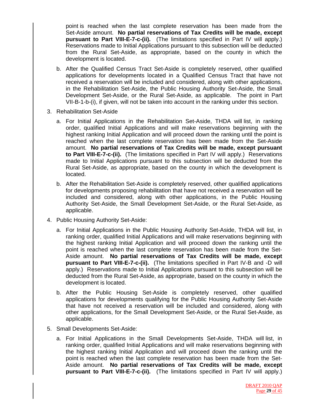point is reached when the last complete reservation has been made from the Set-Aside amount. **No partial reservations of Tax Credits will be made, except pursuant to Part VIII-E-7-c-(ii).** (The limitations specified in Part IV will apply.) Reservations made to Initial Applications pursuant to this subsection will be deducted from the Rural Set-Aside, as appropriate, based on the county in which the development is located.

- b. After the Qualified Census Tract Set-Aside is completely reserved, other qualified applications for developments located in a Qualified Census Tract that have not received a reservation will be included and considered, along with other applications, in the Rehabilitation Set-Aside, the Public Housing Authority Set-Aside, the Small Development Set-Aside, or the Rural Set-Aside, as applicable. The point in Part VII-B-1-b-(i), if given, will not be taken into account in the ranking under this section.
- 3. Rehabilitation Set-Aside
	- a. For Initial Applications in the Rehabilitation Set-Aside, THDA will list, in ranking order, qualified Initial Applications and will make reservations beginning with the highest ranking Initial Application and will proceed down the ranking until the point is reached when the last complete reservation has been made from the Set-Aside amount. **No partial reservations of Tax Credits will be made, except pursuant to Part VIII-E-7-c-(ii).** (The limitations specified in Part IV will apply.) Reservations made to Initial Applications pursuant to this subsection will be deducted from the Rural Set-Aside, as appropriate, based on the county in which the development is located.
	- b. After the Rehabilitation Set-Aside is completely reserved, other qualified applications for developments proposing rehabilitation that have not received a reservation will be included and considered, along with other applications, in the Public Housing Authority Set-Aside, the Small Development Set-Aside, or the Rural Set-Aside, as applicable.
- 4. Public Housing Authority Set-Aside:
	- a. For Initial Applications in the Public Housing Authority Set-Aside, THDA will list, in ranking order, qualified Initial Applications and will make reservations beginning with the highest ranking Initial Application and will proceed down the ranking until the point is reached when the last complete reservation has been made from the Set-Aside amount. **No partial reservations of Tax Credits will be made, except pursuant to Part VIII-E-7-c-(ii).** (The limitations specified in Part IV-B and -D will apply.) Reservations made to Initial Applications pursuant to this subsection will be deducted from the Rural Set-Aside, as appropriate, based on the county in which the development is located.
	- b. After the Public Housing Set-Aside is completely reserved, other qualified applications for developments qualifying for the Public Housing Authority Set-Aside that have not received a reservation will be included and considered, along with other applications, for the Small Development Set-Aside, or the Rural Set-Aside, as applicable.
- 5. Small Developments Set-Aside:
	- a. For Initial Applications in the Small Developments Set-Aside, THDA will list, in ranking order, qualified Initial Applications and will make reservations beginning with the highest ranking Initial Application and will proceed down the ranking until the point is reached when the last complete reservation has been made from the Set-Aside amount. **No partial reservations of Tax Credits will be made, except pursuant to Part VIII-E-7-c-(ii).** (The limitations specified in Part IV will apply.)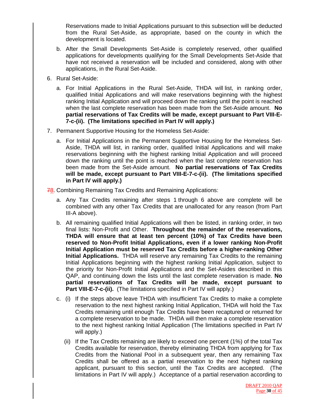Reservations made to Initial Applications pursuant to this subsection will be deducted from the Rural Set-Aside, as appropriate, based on the county in which the development is located.

- b. After the Small Developments Set-Aside is completely reserved, other qualified applications for developments qualifying for the Small Developments Set-Aside that have not received a reservation will be included and considered, along with other applications, in the Rural Set-Aside.
- 6. Rural Set-Aside:
	- a. For Initial Applications in the Rural Set-Aside, THDA will list, in ranking order, qualified Initial Applications and will make reservations beginning with the highest ranking Initial Application and will proceed down the ranking until the point is reached when the last complete reservation has been made from the Set-Aside amount. **No partial reservations of Tax Credits will be made, except pursuant to Part VIII-E-7-c-(ii). (The limitations specified in Part IV will apply.)**
- 7. Permanent Supportive Housing for the Homeless Set-Aside:
	- a. For Initial Applications in the Permanent Supportive Housing for the Homeless Set-Aside, THDA will list, in ranking order, qualified Initial Applications and will make reservations beginning with the highest ranking Initial Application and will proceed down the ranking until the point is reached when the last complete reservation has been made from the Set-Aside amount. **No partial reservations of Tax Credits will be made, except pursuant to Part VIII-E-7-c-(ii). (The limitations specified in Part IV will apply.)**

78. Combining Remaining Tax Credits and Remaining Applications:

- a. Any Tax Credits remaining after steps 1 through 6 above are complete will be combined with any other Tax Credits that are unallocated for any reason (from Part III-A above).
- b. All remaining qualified Initial Applications will then be listed, in ranking order, in two final lists: Non-Profit and Other. **Throughout the remainder of the reservations, THDA will ensure that at least ten percent (10%) of Tax Credits have been reserved to Non-Profit Initial Applications, even if a lower ranking Non-Profit Initial Application must be reserved Tax Credits before a higher-ranking Other Initial Applications.** THDA will reserve any remaining Tax Credits to the remaining Initial Applications beginning with the highest ranking Initial Application, subject to the priority for Non-Profit Initial Applications and the Set-Asides described in this QAP, and continuing down the lists until the last complete reservation is made. **No partial reservations of Tax Credits will be made, except pursuant to Part VIII-E-7-c-(ii).** (The limitations specified in Part IV will apply.)
- c. (i) If the steps above leave THDA with insufficient Tax Credits to make a complete reservation to the next highest ranking Initial Application, THDA will hold the Tax Credits remaining until enough Tax Credits have been recaptured or returned for a complete reservation to be made. THDA will then make a complete reservation to the next highest ranking Initial Application (The limitations specified in Part IV will apply.)
	- (ii) If the Tax Credits remaining are likely to exceed one percent (1%) of the total Tax Credits available for reservation, thereby eliminating THDA from applying for Tax Credits from the National Pool in a subsequent year, then any remaining Tax Credits shall be offered as a partial reservation to the next highest ranking applicant, pursuant to this section, until the Tax Credits are accepted. (The limitations in Part IV will apply.) Acceptance of a partial reservation according to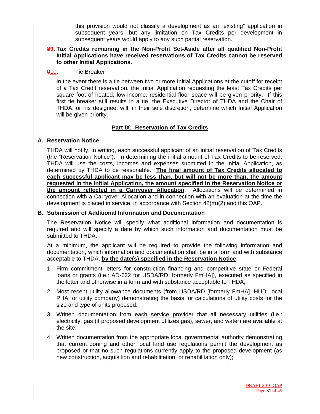this provision would not classify a development as an "existing" application in subsequent years, but any limitation on Tax Credits per development in subsequent years would apply to any such partial reservation.

#### **89. Tax Credits remaining in the Non-Profit Set-Aside after all qualified Non-Profit Initial Applications have received reservations of Tax Credits cannot be reserved to other Initial Applications.**

#### 910. Tie Breaker

In the event there is a tie between two or more Initial Applications at the cutoff for receipt of a Tax Credit reservation, the Initial Application requesting the least Tax Credits per square foot of heated, low-income, residential floor space will be given priority. If this first tie breaker still results in a tie, the Executive Director of THDA and the Chair of THDA, or his designee, will, in their sole discretion, determine which Initial Application will be given priority.

# **Part IX: Reservation of Tax Credits**

#### **A. Reservation Notice**

THDA will notify, in writing, each successful applicant of an initial reservation of Tax Credits (the "Reservation Notice"). In determining the initial amount of Tax Credits to be reserved, THDA will use the costs, incomes and expenses submitted in the Initial Application, as determined by THDA to be reasonable. **The final amount of Tax Credits allocated to each successful applicant may be less than, but will not be more than, the amount requested in the Initial Application, the amount specified in the Reservation Notice or the amount reflected in a Carryover Allocation**. Allocations will be determined in connection with a Carryover Allocation and in connection with an evaluation at the time the development is placed in service, in accordance with Section 42(m)(2) and this QAP.

#### **B. Submission of Additional Information and Documentation**

The Reservation Notice will specify what additional information and documentation is required and will specify a date by which such information and documentation must be submitted to THDA.

At a minimum, the applicant will be required to provide the following information and documentation, which information and documentation shall be in a form and with substance acceptable to THDA, **by the date(s) specified in the Reservation Notice**:

- 1. Firm commitment letters for construction financing and competitive state or Federal loans or grants (i.e.: AD-622 for USDA/RD [formerly FmHA]), executed as specified in the letter and otherwise in a form and with substance acceptable to THDA;
- 2. Most recent utility allowance documents (from USDA/RD [formerly FmHA], HUD, local PHA, or utility company) demonstrating the basis for calculations of utility costs for the size and type of units proposed;
- 3. Written documentation from each service provider that all necessary utilities (i.e.: electricity, gas (if proposed development utilizes gas), sewer, and water) are available at the site;
- 4. Written documentation from the appropriate local governmental authority demonstrating that current zoning and other local land use regulations permit the development as proposed or that no such regulations currently apply to the proposed development (as new construction, acquisition and rehabilitation, or rehabilitation only);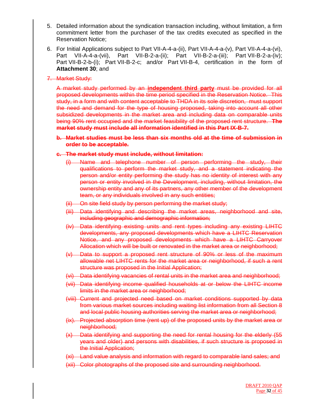- 5. Detailed information about the syndication transaction including, without limitation, a firm commitment letter from the purchaser of the tax credits executed as specified in the Reservation Notice;
- 6. For Initial Applications subject to Part VII-A-4-a-(ii), Part VII-A-4-a-(v), Part VII-A-4-a-(vi), Part VII-A-4-a-(vii), Part VII-B-2-a-(ii); Part VII-B-2-a-(iii); Part VII-B-2-a-(iv); Part VII-B-2-b-(i); Part VII-B-2-c; and/or Part VII-B-4, certification in the form of **Attachment 30**; and
- 7. Market Study:

A market study performed by an **independent third party** must be provided for all proposed developments within the time period specified in the Reservation Notice. This study, in a form and with content acceptable to THDA in its sole discretion, must support the need and demand for the type of housing proposed, taking into account all other subsidized developments in the market area and including data on comparable units being 90% rent occupied and the market feasibility of the proposed rent structure. **The market study must include all information identified in this Part IX-B-7.**

#### **b. Market studies must be less than six months old at the time of submission in order to be acceptable.**

#### **c. The market study must include, without limitation:**

- (i) Name and telephone number of person performing the study, their qualifications to perform the market study, and a statement indicating the person and/or entity performing the study has no identity of interest with any person or entity involved in the Development, including, without limitation, the ownership entity and any of its partners, any other member of the development team, or any individuals involved in any such entities;
- (ii) On site field study by person performing the market study;
- (iii) Data identifying and describing the market areas, neighborhood and site, including geographic and demographic information;
- (iv) Data identifying existing units and rent types including any existing LIHTC developments, any proposed developments which have a LIHTC Reservation Notice, and any proposed developments which have a LIHTC Carryover Allocation which will be built or renovated in the market area or neighborhood;
- (v) Data to support a proposed rent structure of 90% or less of the maximum allowable net LIHTC rents for the market area or neighborhood, if such a rent structure was proposed in the Initial Application;
- (vi) Data identifying vacancies of rental units in the market area and neighborhood;
- (vii) Data identifying income qualified households at or below the LIHTC income limits in the market area or neighborhood;
- (viii) Current and projected need based on market conditions supported by data from various market sources including waiting list information from all Section 8 and local public housing authorities serving the market area or neighborhood;
- (ix). Projected absorption time (rent up) of the proposed units by the market area or neighborhood;
- (x) Data identifying and supporting the need for rental housing for the elderly (55 years and older) and persons with disabilities, if such structure is proposed in the Initial Application;
- (xi) Land value analysis and information with regard to comparable land sales; and
- (xii) Color photographs of the proposed site and surrounding neighborhood.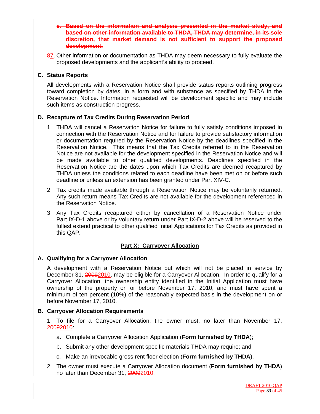- **e. Based on the information and analysis presented in the market study, and based on other information available to THDA, THDA may determine, in its sole discretion, that market demand is not sufficient to support the proposed development.**
- 87. Other information or documentation as THDA may deem necessary to fully evaluate the proposed developments and the applicant's ability to proceed.

#### **C. Status Reports**

All developments with a Reservation Notice shall provide status reports outlining progress toward completion by dates, in a form and with substance as specified by THDA in the Reservation Notice. Information requested will be development specific and may include such items as construction progress.

# **D. Recapture of Tax Credits During Reservation Period**

- 1. THDA will cancel a Reservation Notice for failure to fully satisfy conditions imposed in connection with the Reservation Notice and for failure to provide satisfactory information or documentation required by the Reservation Notice by the deadlines specified in the Reservation Notice. This means that the Tax Credits referred to in the Reservation Notice are not available for the development specified in the Reservation Notice and will be made available to other qualified developments. Deadlines specified in the Reservation Notice are the dates upon which Tax Credits are deemed recaptured by THDA unless the conditions related to each deadline have been met on or before such deadline or unless an extension has been granted under Part XIV-C.
- 2. Tax credits made available through a Reservation Notice may be voluntarily returned. Any such return means Tax Credits are not available for the development referenced in the Reservation Notice.
- 3. Any Tax Credits recaptured either by cancellation of a Reservation Notice under Part IX-D-1 above or by voluntary return under Part IX-D-2 above will be reserved to the fullest extend practical to other qualified Initial Applications for Tax Credits as provided in this QAP.

# **Part X: Carryover Allocation**

# **A. Qualifying for a Carryover Allocation**

A development with a Reservation Notice but which will not be placed in service by December 31, 20092010, may be eligible for a Carryover Allocation. In order to qualify for a Carryover Allocation, the ownership entity identified in the Initial Application must have ownership of the property on or before November 17, 2010, and must have spent a minimum of ten percent (10%) of the reasonably expected basis in the development on or before November 17, 2010.

#### **B. Carryover Allocation Requirements**

1. To file for a Carryover Allocation, the owner must, no later than November 17, 20092010:

- a. Complete a Carryover Allocation Application (**Form furnished by THDA**);
- b. Submit any other development specific materials THDA may require; and
- c. Make an irrevocable gross rent floor election (**Form furnished by THDA**).
- 2. The owner must execute a Carryover Allocation document (**Form furnished by THDA**) no later than December 31, 20092010.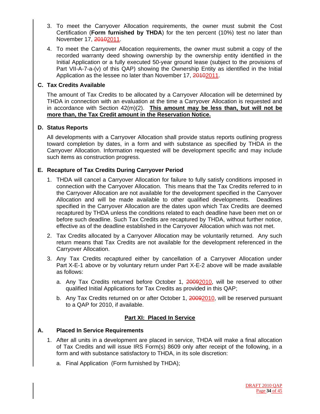- 3. To meet the Carryover Allocation requirements, the owner must submit the Cost Certification (**Form furnished by THDA**) for the ten percent (10%) test no later than November 17, 20102011.
- 4. To meet the Carryover Allocation requirements, the owner must submit a copy of the recorded warranty deed showing ownership by the ownership entity identified in the Initial Application or a fully executed 50-year ground lease (subject to the provisions of Part VII-A-7-a-(v) of this QAP) showing the Ownership Entity as identified in the Initial Application as the lessee no later than November 17, 20102011.

#### **C. Tax Credits Available**

The amount of Tax Credits to be allocated by a Carryover Allocation will be determined by THDA in connection with an evaluation at the time a Carryover Allocation is requested and in accordance with Section 42(m)(2). **This amount may be less than, but will not be more than, the Tax Credit amount in the Reservation Notice.**

#### **D. Status Reports**

All developments with a Carryover Allocation shall provide status reports outlining progress toward completion by dates, in a form and with substance as specified by THDA in the Carryover Allocation. Information requested will be development specific and may include such items as construction progress.

#### **E. Recapture of Tax Credits During Carryover Period**

- 1. THDA will cancel a Carryover Allocation for failure to fully satisfy conditions imposed in connection with the Carryover Allocation. This means that the Tax Credits referred to in the Carryover Allocation are not available for the development specified in the Carryover Allocation and will be made available to other qualified developments. Deadlines specified in the Carryover Allocation are the dates upon which Tax Credits are deemed recaptured by THDA unless the conditions related to each deadline have been met on or before such deadline. Such Tax Credits are recaptured by THDA, without further notice, effective as of the deadline established in the Carryover Allocation which was not met.
- 2. Tax Credits allocated by a Carryover Allocation may be voluntarily returned. Any such return means that Tax Credits are not available for the development referenced in the Carryover Allocation.
- 3. Any Tax Credits recaptured either by cancellation of a Carryover Allocation under Part X-E-1 above or by voluntary return under Part X-E-2 above will be made available as follows:
	- a. Any Tax Credits returned before October 1, 20092010, will be reserved to other qualified Initial Applications for Tax Credits as provided in this QAP;
	- b. Any Tax Credits returned on or after October 1, 20092010, will be reserved pursuant to a QAP for 2010, if available.

#### **Part XI: Placed In Service**

#### **A. Placed In Service Requirements**

- 1. After all units in a development are placed in service, THDA will make a final allocation of Tax Credits and will issue IRS Form(s) 8609 only after receipt of the following, in a form and with substance satisfactory to THDA, in its sole discretion:
	- a. Final Application (Form furnished by THDA);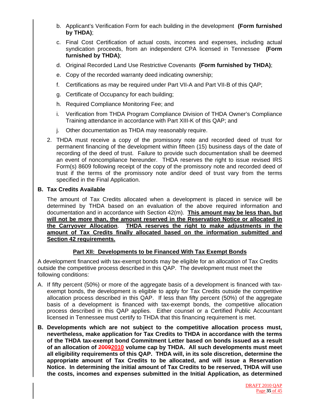- b. Applicant's Verification Form for each building in the development **(Form furnished by THDA)**;
- c. Final Cost Certification of actual costs, incomes and expenses, including actual syndication proceeds, from an independent CPA licensed in Tennessee **(Form furnished by THDA)**;
- d. Original Recorded Land Use Restrictive Covenants **(Form furnished by THDA)**;
- e. Copy of the recorded warranty deed indicating ownership;
- f. Certifications as may be required under Part VII-A and Part VII-B of this QAP;
- g. Certificate of Occupancy for each building;
- h. Required Compliance Monitoring Fee; and
- i. Verification from THDA Program Compliance Division of THDA Owner's Compliance Training attendance in accordance with Part XIII-K of this QAP; and
- j. Other documentation as THDA may reasonably require.
- 2. THDA must receive a copy of the promissory note and recorded deed of trust for permanent financing of the development within fifteen (15) business days of the date of recording of the deed of trust. Failure to provide such documentation shall be deemed an event of noncompliance hereunder. THDA reserves the right to issue revised IRS Form(s) 8609 following receipt of the copy of the promissory note and recorded deed of trust if the terms of the promissory note and/or deed of trust vary from the terms specified in the Final Application.

#### **B. Tax Credits Available**

The amount of Tax Credits allocated when a development is placed in service will be determined by THDA based on an evaluation of the above required information and documentation and in accordance with Section 42(m). **This amount may be less than, but will not be more than, the amount reserved in the Reservation Notice or allocated in the Carryover Allocation**. **THDA reserves the right to make adjustments in the amount of Tax Credits finally allocated based on the information submitted and Section 42 requirements.**

#### **Part XII: Developments to be Financed With Tax Exempt Bonds**

A development financed with tax-exempt bonds may be eligible for an allocation of Tax Credits outside the competitive process described in this QAP. The development must meet the following conditions:

- A. If fifty percent (50%) or more of the aggregate basis of a development is financed with taxexempt bonds, the development is eligible to apply for Tax Credits outside the competitive allocation process described in this QAP. If less than fifty percent (50%) of the aggregate basis of a development is financed with tax-exempt bonds, the competitive allocation process described in this QAP applies. Either counsel or a Certified Public Accountant licensed in Tennessee must certify to THDA that this financing requirement is met.
- **B. Developments which are not subject to the competitive allocation process must, nevertheless, make application for Tax Credits to THDA in accordance with the terms of the THDA tax-exempt bond Commitment Letter based on bonds issued as a result of an allocation of 20092010 volume cap by THDA. All such developments must meet all eligibility requirements of this QAP. THDA will, in its sole discretion, determine the appropriate amount of Tax Credits to be allocated, and will issue a Reservation Notice. In determining the initial amount of Tax Credits to be reserved, THDA will use the costs, incomes and expenses submitted in the Initial Application, as determined**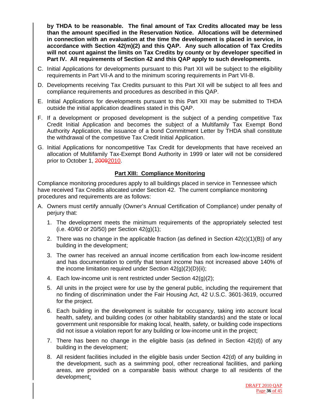**by THDA to be reasonable. The final amount of Tax Credits allocated may be less than the amount specified in the Reservation Notice. Allocations will be determined in connection with an evaluation at the time the development is placed in service, in accordance with Section 42(m)(2) and this QAP. Any such allocation of Tax Credits will not count against the limits on Tax Credits by county or by developer specified in Part IV. All requirements of Section 42 and this QAP apply to such developments.** 

- C. Initial Applications for developments pursuant to this Part XII will be subject to the eligibility requirements in Part VII-A and to the minimum scoring requirements in Part VII-B.
- D. Developments receiving Tax Credits pursuant to this Part XII will be subject to all fees and compliance requirements and procedures as described in this QAP.
- E. Initial Applications for developments pursuant to this Part XII may be submitted to THDA outside the initial application deadlines stated in this QAP.
- F. If a development or proposed development is the subject of a pending competitive Tax Credit Initial Application and becomes the subject of a Multifamily Tax Exempt Bond Authority Application, the issuance of a bond Commitment Letter by THDA shall constitute the withdrawal of the competitive Tax Credit Initial Application.
- G. Initial Applications for noncompetitive Tax Credit for developments that have received an allocation of Multifamily Tax-Exempt Bond Authority in 1999 or later will not be considered prior to October 1, 20092010.

# **Part XIII: Compliance Monitoring**

Compliance monitoring procedures apply to all buildings placed in service in Tennessee which have received Tax Credits allocated under Section 42. The current compliance monitoring procedures and requirements are as follows:

- A. Owners must certify annually (Owner's Annual Certification of Compliance) under penalty of perjury that:
	- 1. The development meets the minimum requirements of the appropriately selected test (i.e. 40/60 or 20/50) per Section 42(g)(1);
	- 2. There was no change in the applicable fraction (as defined in Section  $42(c)(1)(B)$ ) of any building in the development;
	- 3. The owner has received an annual income certification from each low-income resident and has documentation to certify that tenant income has not increased above 140% of the income limitation required under Section  $42(q)(2)(D)(ii)$ ;
	- 4. Each low-income unit is rent restricted under Section 42(g)(2);
	- 5. All units in the project were for use by the general public, including the requirement that no finding of discrimination under the Fair Housing Act, 42 U.S.C. 3601-3619, occurred for the project.
	- 6. Each building in the development is suitable for occupancy, taking into account local health, safety, and building codes (or other habitability standards) and the state or local government unit responsible for making local, health, safety, or building code inspections did not issue a violation report for any building or low-income unit in the project;
	- 7. There has been no change in the eligible basis (as defined in Section 42(d)) of any building in the development;
	- 8. All resident facilities included in the eligible basis under Section 42(d) of any building in the development, such as a swimming pool, other recreational facilities, and parking areas, are provided on a comparable basis without charge to all residents of the development;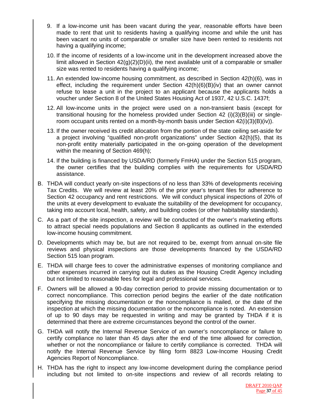- 9. If a low-income unit has been vacant during the year, reasonable efforts have been made to rent that unit to residents having a qualifying income and while the unit has been vacant no units of comparable or smaller size have been rented to residents not having a qualifying income;
- 10. If the income of residents of a low-income unit in the development increased above the limit allowed in Section 42(g)(2)(D)(ii), the next available unit of a comparable or smaller size was rented to residents having a qualifying income;
- 11. An extended low-income housing commitment, as described in Section 42(h)(6), was in effect, including the requirement under Section  $42(h)(6)(B)(iv)$  that an owner cannot refuse to lease a unit in the project to an applicant because the applicants holds a voucher under Section 8 of the United States Housing Act of 1937, 42 U.S.C. 1437f;
- 12. All low-income units in the project were used on a non-transient basis (except for transitional housing for the homeless provided under Section 42 (i)(3)(B)(iii) or singleroom occupant units rented on a month-by-month basis under Section 42(i)(3)(B)(iv)).
- 13. If the owner received its credit allocation from the portion of the state ceiling set-aside for a project involving "qualified non-profit organizations" under Section 42(h)(5), that its non-profit entity materially participated in the on-going operation of the development within the meaning of Section 469(h);
- 14. If the building is financed by USDA/RD (formerly FmHA) under the Section 515 program, the owner certifies that the building complies with the requirements for USDA/RD assistance.
- B. THDA will conduct yearly on-site inspections of no less than 33% of developments receiving Tax Credits. We will review at least 20% of the prior year's tenant files for adherence to Section 42 occupancy and rent restrictions. We will conduct physical inspections of 20% of the units at every development to evaluate the suitability of the development for occupancy, taking into account local, health, safety, and building codes (or other habitability standards).
- C. As a part of the site inspection, a review will be conducted of the owner's marketing efforts to attract special needs populations and Section 8 applicants as outlined in the extended low-income housing commitment.
- D. Developments which may be, but are not required to be, exempt from annual on-site file reviews and physical inspections are those developments financed by the USDA/RD Section 515 loan program.
- E. THDA will charge fees to cover the administrative expenses of monitoring compliance and other expenses incurred in carrying out its duties as the Housing Credit Agency including but not limited to reasonable fees for legal and professional services.
- F. Owners will be allowed a 90-day correction period to provide missing documentation or to correct noncompliance. This correction period begins the earlier of the date notification specifying the missing documentation or the noncompliance is mailed, or the date of the inspection at which the missing documentation or the noncompliance is noted. An extension of up to 90 days may be requested in writing and may be granted by THDA if it is determined that there are extreme circumstances beyond the control of the owner.
- G. THDA will notify the Internal Revenue Service of an owner's noncompliance or failure to certify compliance no later than 45 days after the end of the time allowed for correction, whether or not the noncompliance or failure to certify compliance is corrected. THDA will notify the Internal Revenue Service by filing form 8823 Low-Income Housing Credit Agencies Report of Noncompliance.
- H. THDA has the right to inspect any low-income development during the compliance period including but not limited to on-site inspections and review of all records relating to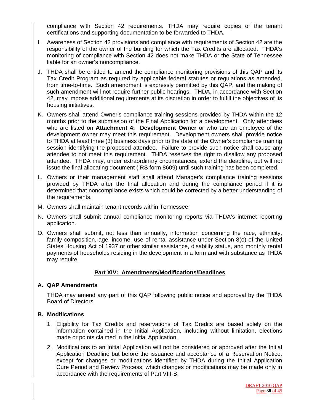compliance with Section 42 requirements. THDA may require copies of the tenant certifications and supporting documentation to be forwarded to THDA.

- I. Awareness of Section 42 provisions and compliance with requirements of Section 42 are the responsibility of the owner of the building for which the Tax Credits are allocated. THDA's monitoring of compliance with Section 42 does not make THDA or the State of Tennessee liable for an owner's noncompliance.
- J. THDA shall be entitled to amend the compliance monitoring provisions of this QAP and its Tax Credit Program as required by applicable federal statutes or regulations as amended, from time-to-time. Such amendment is expressly permitted by this QAP, and the making of such amendment will not require further public hearings. THDA, in accordance with Section 42, may impose additional requirements at its discretion in order to fulfill the objectives of its housing initiatives.
- K. Owners shall attend Owner's compliance training sessions provided by THDA within the 12 months prior to the submission of the Final Application for a development. Only attendees who are listed on **Attachment 4: Development Owner** or who are an employee of the development owner may meet this requirement. Development owners shall provide notice to THDA at least three (3) business days prior to the date of the Owner's compliance training session identifying the proposed attendee. Failure to provide such notice shall cause any attendee to not meet this requirement. THDA reserves the right to disallow any proposed attendee. THDA may, under extraordinary circumstances, extend the deadline, but will not issue the final allocating document (IRS form 8609) until such training has been completed.
- L. Owners or their management staff shall attend Manager's compliance training sessions provided by THDA after the final allocation and during the compliance period if it is determined that noncompliance exists which could be corrected by a better understanding of the requirements.
- M. Owners shall maintain tenant records within Tennessee.
- N. Owners shall submit annual compliance monitoring reports via THDA's internet reporting application.
- O. Owners shall submit, not less than annually, information concerning the race, ethnicity, family composition, age, income, use of rental assistance under Section 8(o) of the United States Housing Act of 1937 or other similar assistance, disability status, and monthly rental payments of households residing in the development in a form and with substance as THDA may require.

#### **Part XIV: Amendments/Modifications/Deadlines**

#### **A. QAP Amendments**

THDA may amend any part of this QAP following public notice and approval by the THDA Board of Directors.

#### **B. Modifications**

- 1. Eligibility for Tax Credits and reservations of Tax Credits are based solely on the information contained in the Initial Application, including without limitation, elections made or points claimed in the Initial Application.
- 2. Modifications to an Initial Application will not be considered or approved after the Initial Application Deadline but before the issuance and acceptance of a Reservation Notice, except for changes or modifications identified by THDA during the Initial Application Cure Period and Review Process, which changes or modifications may be made only in accordance with the requirements of Part VIII-B.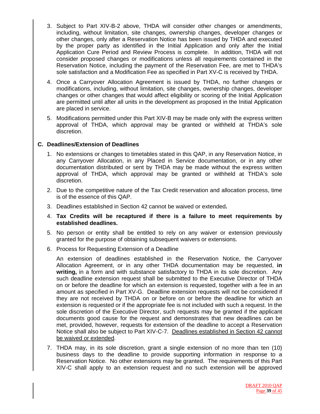- 3. Subject to Part XIV-B-2 above, THDA will consider other changes or amendments, including, without limitation, site changes, ownership changes, developer changes or other changes, only after a Reservation Notice has been issued by THDA and executed by the proper party as identified in the Initial Application and only after the Initial Application Cure Period and Review Process is complete. In addition, THDA will not consider proposed changes or modifications unless all requirements contained in the Reservation Notice, including the payment of the Reservation Fee, are met to THDA's sole satisfaction and a Modification Fee as specified in Part XV-C is received by THDA.
- 4. Once a Carryover Allocation Agreement is issued by THDA, no further changes or modifications, including, without limitation, site changes, ownership changes, developer changes or other changes that would affect eligibility or scoring of the Initial Application are permitted until after all units in the development as proposed in the Initial Application are placed in service.
- 5. Modifications permitted under this Part XIV-B may be made only with the express written approval of THDA, which approval may be granted or withheld at THDA's sole discretion.

#### **C. Deadlines/Extension of Deadlines**

- 1. No extensions or changes to timetables stated in this QAP, in any Reservation Notice, in any Carryover Allocation, in any Placed in Service documentation, or in any other documentation distributed or sent by THDA may be made without the express written approval of THDA, which approval may be granted or withheld at THDA's sole discretion.
- 2. Due to the competitive nature of the Tax Credit reservation and allocation process, time is of the essence of this QAP.
- 3. Deadlines established in Section 42 cannot be waived or extended**.**
- 4. **Tax Credits will be recaptured if there is a failure to meet requirements by established deadlines.**
- 5. No person or entity shall be entitled to rely on any waiver or extension previously granted for the purpose of obtaining subsequent waivers or extensions.
- 6. Process for Requesting Extension of a Deadline

 An extension of deadlines established in the Reservation Notice, the Carryover Allocation Agreement, or in any other THDA documentation may be requested, **in writing,** in a form and with substance satisfactory to THDA in its sole discretion. Any such deadline extension request shall be submitted to the Executive Director of THDA on or before the deadline for which an extension is requested, together with a fee in an amount as specified in Part XV-G. Deadline extension requests will not be considered if they are not received by THDA on or before on or before the deadline for which an extension is requested or if the appropriate fee is not included with such a request. In the sole discretion of the Executive Director, such requests may be granted if the applicant documents good cause for the request and demonstrates that new deadlines can be met, provided, however, requests for extension of the deadline to accept a Reservation Notice shall also be subject to Part XIV-C-7. Deadlines established in Section 42 cannot be waived or extended.

7. THDA may, in its sole discretion, grant a single extension of no more than ten (10) business days to the deadline to provide supporting information in response to a Reservation Notice. No other extensions may be granted. The requirements of this Part XIV-C shall apply to an extension request and no such extension will be approved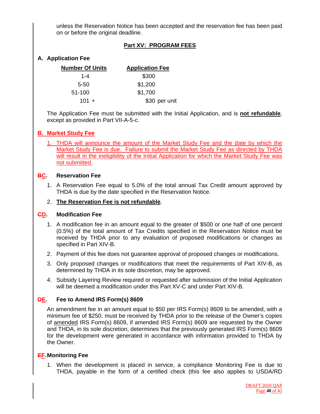unless the Reservation Notice has been accepted and the reservation fee has been paid on or before the original deadline.

# **Part XV: PROGRAM FEES**

# **A. Application Fee**

| <b>Number Of Units</b> | <b>Application Fee</b> |
|------------------------|------------------------|
| $1 - 4$                | \$300                  |
| 5-50                   | \$1,200                |
| 51-100                 | \$1,700                |
| $101 +$                | \$30 per unit          |

The Application Fee must be submitted with the Initial Application, and is **not refundable**, except as provided in Part VII-A-5-c.

#### **B. Market Study Fee**

1. THDA will announce the amount of the Market Study Fee and the date by which the Market Study Fee is due. Failure to submit the Market Study Fee as directed by THDA will result in the ineligibility of the Initial Application for which the Market Study Fee was not submitted.

#### **BC. Reservation Fee**

1. A Reservation Fee equal to 5.0% of the total annual Tax Credit amount approved by THDA is due by the date specified in the Reservation Notice.

#### 2. **The Reservation Fee is not refundable**.

#### **CD. Modification Fee**

- 1. A modification fee in an amount equal to the greater of \$500 or one half of one percent (0.5%) of the total amount of Tax Credits specified in the Reservation Notice must be received by THDA prior to any evaluation of proposed modifications or changes as specified in Part XIV-B.
- 2. Payment of this fee does not guarantee approval of proposed changes or modifications.
- 3. Only proposed changes or modifications that meet the requirements of Part XIV-B, as determined by THDA in its sole discretion, may be approved.
- 4. Subsidy Layering Review required or requested after submission of the Initial Application will be deemed a modification under this Part XV-C and under Part XIV-B.

#### **DE. Fee to Amend IRS Form(s) 8609**

An amendment fee in an amount equal to \$50 per IRS Form(s) 8609 to be amended, with a minimum fee of \$250, must be received by THDA prior to the release of the Owner's copies of amended IRS Form(s) 8609, if amended IRS Form(s) 8609 are requested by the Owner and THDA, in its sole discretion, determines that the previously generated IRS Form(s) 8609 for the development were generated in accordance with information provided to THDA by the Owner.

#### **EF. Monitoring Fee**

1. When the development is placed in service, a compliance Monitoring Fee is due to THDA, payable in the form of a certified check (this fee also applies to USDA/RD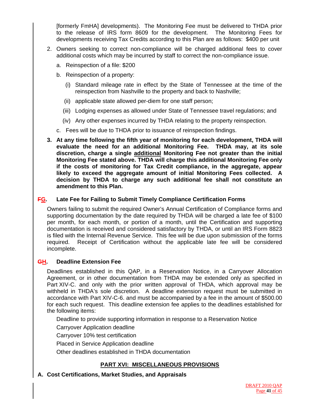[formerly FmHA] developments). The Monitoring Fee must be delivered to THDA prior to the release of IRS form 8609 for the development. The Monitoring Fees for developments receiving Tax Credits according to this Plan are as follows: \$400 per unit

- 2. Owners seeking to correct non-compliance will be charged additional fees to cover additional costs which may be incurred by staff to correct the non-compliance issue.
	- a. Reinspection of a file: \$200
	- b. Reinspection of a property:
		- (i) Standard mileage rate in effect by the State of Tennessee at the time of the reinspection from Nashville to the property and back to Nashville;
		- (ii) applicable state allowed per-diem for one staff person;
		- (iii) Lodging expenses as allowed under State of Tennessee travel regulations; and
		- (iv) Any other expenses incurred by THDA relating to the property reinspection.
	- c. Fees will be due to THDA prior to issuance of reinspection findings.
- **3. At any time following the fifth year of monitoring for each development, THDA will evaluate the need for an additional Monitoring Fee. THDA may, at its sole discretion, charge a single additional Monitoring Fee not greater than the initial Monitoring Fee stated above. THDA will charge this additional Monitoring Fee only if the costs of monitoring for Tax Credit compliance, in the aggregate, appear likely to exceed the aggregate amount of initial Monitoring Fees collected. A decision by THDA to charge any such additional fee shall not constitute an amendment to this Plan.**

#### **FG. Late Fee for Failing to Submit Timely Compliance Certification Forms**

Owners failing to submit the required Owner's Annual Certification of Compliance forms and supporting documentation by the date required by THDA will be charged a late fee of \$100 per month, for each month, or portion of a month, until the Certification and supporting documentation is received and considered satisfactory by THDA, or until an IRS Form 8823 is filed with the Internal Revenue Service. This fee will be due upon submission of the forms required. Receipt of Certification without the applicable late fee will be considered incomplete.

#### **GH. Deadline Extension Fee**

Deadlines established in this QAP, in a Reservation Notice, in a Carryover Allocation Agreement, or in other documentation from THDA may be extended only as specified in Part XIV-C. and only with the prior written approval of THDA, which approval may be withheld in THDA's sole discretion. A deadline extension request must be submitted in accordance with Part XIV-C-6. and must be accompanied by a fee in the amount of \$500.00 for each such request. This deadline extension fee applies to the deadlines established for the following items:

Deadline to provide supporting information in response to a Reservation Notice

Carryover Application deadline

Carryover 10% test certification

Placed in Service Application deadline

Other deadlines established in THDA documentation

#### **PART XVI: MISCELLANEOUS PROVISIONS**

#### **A. Cost Certifications, Market Studies, and Appraisals**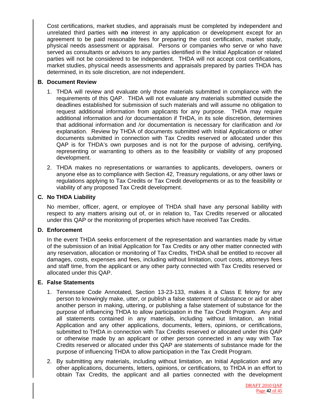Cost certifications, market studies, and appraisals must be completed by independent and unrelated third parties with **no** interest in any application or development except for an agreement to be paid reasonable fees for preparing the cost certification, market study, physical needs assessment or appraisal. Persons or companies who serve or who have served as consultants or advisors to any parties identified in the Initial Application or related parties will not be considered to be independent. THDA will not accept cost certifications, market studies, physical needs assessments and appraisals prepared by parties THDA has determined, in its sole discretion, are not independent.

#### **B. Document Review**

- 1. THDA will review and evaluate only those materials submitted in compliance with the requirements of this QAP. THDA will not evaluate any materials submitted outside the deadlines established for submission of such materials and will assume no obligation to request additional information from applicants for any purpose. THDA may require additional information and /or documentation if THDA, in its sole discretion, determines that additional information and /or documentation is necessary for clarification and /or explanation. Review by THDA of documents submitted with Initial Applications or other documents submitted in connection with Tax Credits reserved or allocated under this QAP is for THDA's own purposes and is not for the purpose of advising, certifying, representing or warranting to others as to the feasibility or viability of any proposed development.
- 2. THDA makes no representations or warranties to applicants, developers, owners or anyone else as to compliance with Section 42, Treasury regulations, or any other laws or regulations applying to Tax Credits or Tax Credit developments or as to the feasibility or viability of any proposed Tax Credit development.

#### **C. No THDA Liability**

No member, officer, agent, or employee of THDA shall have any personal liability with respect to any matters arising out of, or in relation to, Tax Credits reserved or allocated under this QAP or the monitoring of properties which have received Tax Credits.

#### **D. Enforcement**

In the event THDA seeks enforcement of the representation and warranties made by virtue of the submission of an Initial Application for Tax Credits or any other matter connected with any reservation, allocation or monitoring of Tax Credits, THDA shall be entitled to recover all damages, costs, expenses and fees, including without limitation, court costs, attorneys fees and staff time, from the applicant or any other party connected with Tax Credits reserved or allocated under this QAP.

#### **E. False Statements**

- 1. Tennessee Code Annotated, Section 13-23-133, makes it a Class E felony for any person to knowingly make, utter, or publish a false statement of substance or aid or abet another person in making, uttering, or publishing a false statement of substance for the purpose of influencing THDA to allow participation in the Tax Credit Program. Any and all statements contained in any materials, including without limitation, an Initial Application and any other applications, documents, letters, opinions, or certifications, submitted to THDA in connection with Tax Credits reserved or allocated under this QAP or otherwise made by an applicant or other person connected in any way with Tax Credits reserved or allocated under this QAP are statements of substance made for the purpose of influencing THDA to allow participation in the Tax Credit Program.
- 2. By submitting any materials, including without limitation, an Initial Application and any other applications, documents, letters, opinions, or certifications, to THDA in an effort to obtain Tax Credits, the applicant and all parties connected with the development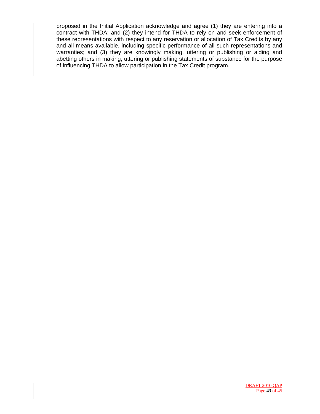proposed in the Initial Application acknowledge and agree (1) they are entering into a contract with THDA; and (2) they intend for THDA to rely on and seek enforcement of these representations with respect to any reservation or allocation of Tax Credits by any and all means available, including specific performance of all such representations and warranties; and (3) they are knowingly making, uttering or publishing or aiding and abetting others in making, uttering or publishing statements of substance for the purpose of influencing THDA to allow participation in the Tax Credit program.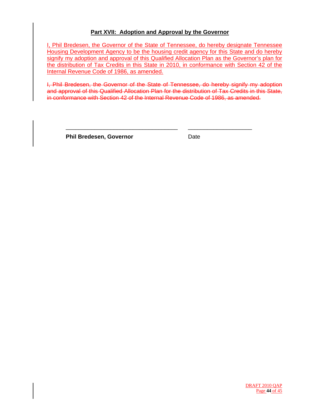# **Part XVII: Adoption and Approval by the Governor**

I, Phil Bredesen, the Governor of the State of Tennessee, do hereby designate Tennessee Housing Development Agency to be the housing credit agency for this State and do hereby signify my adoption and approval of this Qualified Allocation Plan as the Governor's plan for the distribution of Tax Credits in this State in 2010, in conformance with Section 42 of the Internal Revenue Code of 1986, as amended.

I, Phil Bredesen, the Governor of the State of Tennessee, do hereby signify my adoption and approval of this Qualified Allocation Plan for the distribution of Tax Credits in this State, in conformance with Section 42 of the Internal Revenue Code of 1986, as amended.

\_\_\_\_\_\_\_\_\_\_\_\_\_\_\_\_\_\_\_\_\_\_\_\_\_\_\_\_\_\_\_\_\_\_\_ \_\_\_\_\_\_\_\_\_\_\_\_\_\_\_\_\_\_\_\_

**Phil Bredesen, Governor Contract Contract Date**